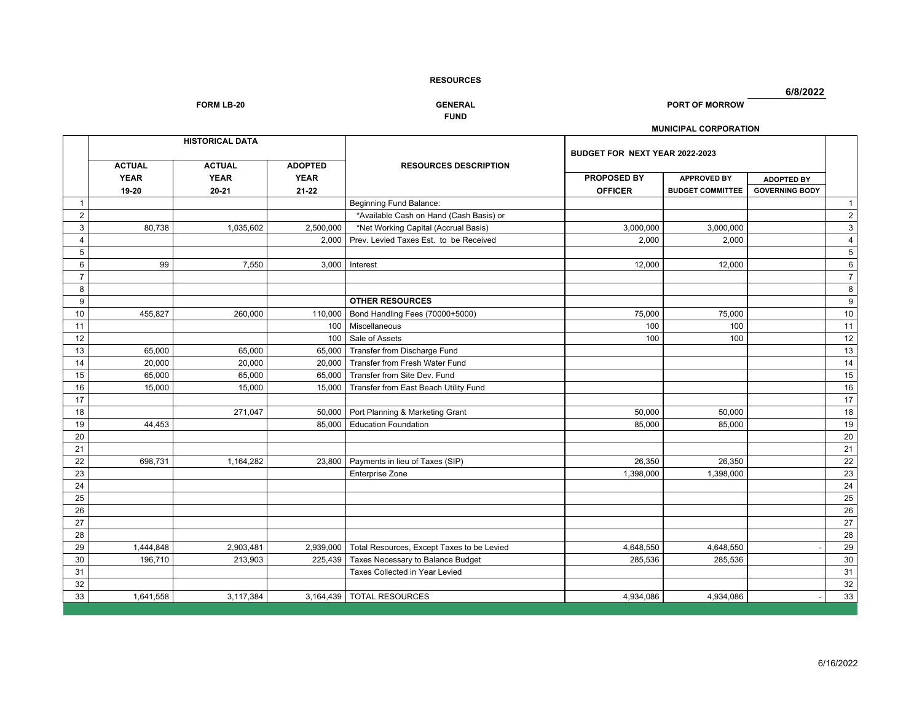**6/8/2022**

**FORM LB-20 GENERAL PORT OF MORROW**

# **FUND**

# **MUNICIPAL CORPORATION**

|                | <b>HISTORICAL DATA</b> |                          |                          |                                            |                               | BUDGET FOR NEXT YEAR 2022-2023                |                                            |                  |  |
|----------------|------------------------|--------------------------|--------------------------|--------------------------------------------|-------------------------------|-----------------------------------------------|--------------------------------------------|------------------|--|
|                | <b>ACTUAL</b>          | <b>ACTUAL</b>            | <b>ADOPTED</b>           | <b>RESOURCES DESCRIPTION</b>               |                               |                                               |                                            |                  |  |
|                | <b>YEAR</b><br>19-20   | <b>YEAR</b><br>$20 - 21$ | <b>YEAR</b><br>$21 - 22$ |                                            | PROPOSED BY<br><b>OFFICER</b> | <b>APPROVED BY</b><br><b>BUDGET COMMITTEE</b> | <b>ADOPTED BY</b><br><b>GOVERNING BODY</b> |                  |  |
| -1             |                        |                          |                          | <b>Beginning Fund Balance:</b>             |                               |                                               |                                            | $\overline{1}$   |  |
| 2              |                        |                          |                          | *Available Cash on Hand (Cash Basis) or    |                               |                                               |                                            | $\overline{2}$   |  |
| 3              | 80,738                 | 1,035,602                | 2,500,000                | *Net Working Capital (Accrual Basis)       | 3,000,000                     | 3,000,000                                     |                                            | $\overline{3}$   |  |
| $\overline{4}$ |                        |                          | 2,000                    | Prev. Levied Taxes Est. to be Received     | 2,000                         | 2,000                                         |                                            | $\overline{4}$   |  |
| 5              |                        |                          |                          |                                            |                               |                                               |                                            | $\overline{5}$   |  |
| 6              | 99                     | 7,550                    | 3,000                    | Interest                                   | 12,000                        | 12,000                                        |                                            | $\,6\,$          |  |
| $\overline{7}$ |                        |                          |                          |                                            |                               |                                               |                                            | $\overline{7}$   |  |
| 8              |                        |                          |                          |                                            |                               |                                               |                                            | $\bf 8$          |  |
| 9              |                        |                          |                          | <b>OTHER RESOURCES</b>                     |                               |                                               |                                            | $\boldsymbol{9}$ |  |
| 10             | 455,827                | 260,000                  | 110,000                  | Bond Handling Fees (70000+5000)            | 75,000                        | 75,000                                        |                                            | 10               |  |
| 11             |                        |                          | 100                      | Miscellaneous                              | 100                           | 100                                           |                                            | 11               |  |
| 12             |                        |                          | 100                      | Sale of Assets                             | 100                           | 100                                           |                                            | 12               |  |
| 13             | 65,000                 | 65,000                   | 65,000                   | Transfer from Discharge Fund               |                               |                                               |                                            | 13               |  |
| 14             | 20,000                 | 20,000                   | 20,000                   | Transfer from Fresh Water Fund             |                               |                                               |                                            | 14               |  |
| 15             | 65,000                 | 65,000                   | 65,000                   | Transfer from Site Dev. Fund               |                               |                                               |                                            | 15               |  |
| 16             | 15,000                 | 15,000                   | 15,000                   | Transfer from East Beach Utility Fund      |                               |                                               |                                            | $16\,$           |  |
| 17             |                        |                          |                          |                                            |                               |                                               |                                            | 17               |  |
| 18             |                        | 271,047                  | 50,000                   | Port Planning & Marketing Grant            | 50,000                        | 50,000                                        |                                            | 18               |  |
| 19             | 44,453                 |                          | 85,000                   | <b>Education Foundation</b>                | 85,000                        | 85,000                                        |                                            | 19               |  |
| 20             |                        |                          |                          |                                            |                               |                                               |                                            | 20               |  |
| 21             |                        |                          |                          |                                            |                               |                                               |                                            | 21               |  |
| 22             | 698,731                | 1,164,282                | 23,800                   | Payments in lieu of Taxes (SIP)            | 26,350                        | 26,350                                        |                                            | $\overline{22}$  |  |
| 23             |                        |                          |                          | <b>Enterprise Zone</b>                     | 1,398,000                     | 1,398,000                                     |                                            | 23               |  |
| 24             |                        |                          |                          |                                            |                               |                                               |                                            | 24               |  |
| 25             |                        |                          |                          |                                            |                               |                                               |                                            | 25               |  |
| 26             |                        |                          |                          |                                            |                               |                                               |                                            | 26               |  |
| 27             |                        |                          |                          |                                            |                               |                                               |                                            | 27               |  |
| 28             |                        |                          |                          |                                            |                               |                                               |                                            | 28               |  |
| 29             | 1,444,848              | 2,903,481                | 2,939,000                | Total Resources, Except Taxes to be Levied | 4,648,550                     | 4,648,550                                     |                                            | 29               |  |
| 30             | 196,710                | 213,903                  | 225,439                  | Taxes Necessary to Balance Budget          | 285,536                       | 285,536                                       |                                            | $30\,$           |  |
| 31             |                        |                          |                          | Taxes Collected in Year Levied             |                               |                                               |                                            | 31               |  |
| 32             |                        |                          |                          |                                            |                               |                                               |                                            | 32               |  |
| 33             | 1,641,558              | 3,117,384                |                          | 3,164,439 TOTAL RESOURCES                  | 4,934,086                     | 4,934,086                                     |                                            | 33               |  |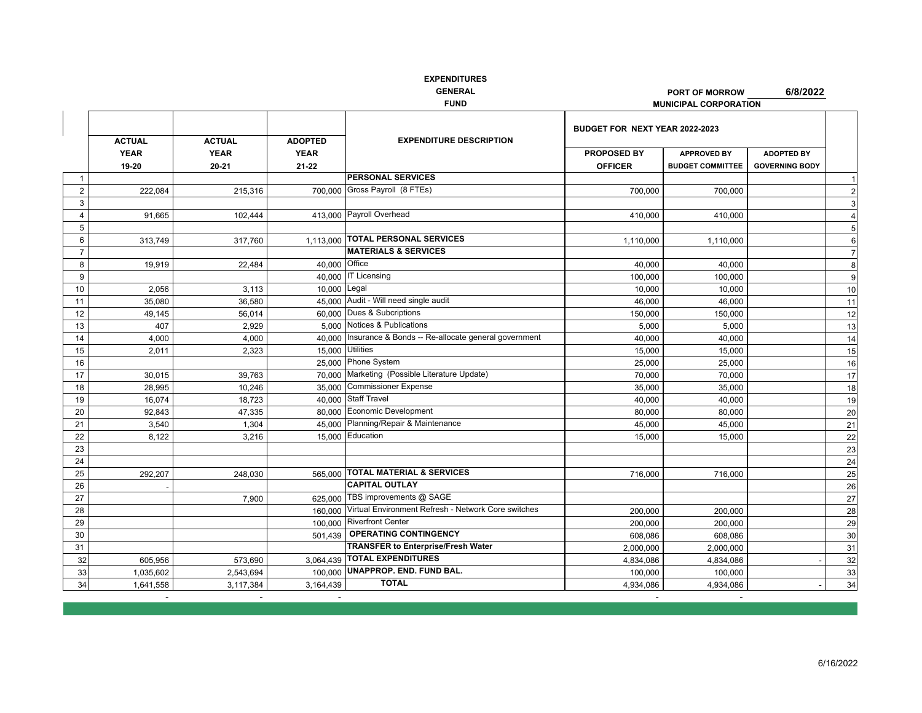|                | <b>ACTUAL</b> | <b>ACTUAL</b> | <b>ADOPTED</b>   | <b>EXPENDITURE DESCRIPTION</b>                      | BUDGET FOR NEXT YEAR 2022-2023 |                         |                       |                       |
|----------------|---------------|---------------|------------------|-----------------------------------------------------|--------------------------------|-------------------------|-----------------------|-----------------------|
|                |               |               |                  |                                                     |                                |                         |                       |                       |
|                | <b>YEAR</b>   | <b>YEAR</b>   | <b>YEAR</b>      |                                                     | <b>PROPOSED BY</b>             | <b>APPROVED BY</b>      | <b>ADOPTED BY</b>     |                       |
|                | 19-20         | 20-21         | $21 - 22$        |                                                     | <b>OFFICER</b>                 | <b>BUDGET COMMITTEE</b> | <b>GOVERNING BODY</b> |                       |
| $\overline{1}$ |               |               |                  | <b>PERSONAL SERVICES</b>                            |                                |                         |                       |                       |
| 2              | 222.084       | 215,316       |                  | 700.000 Gross Payroll (8 FTEs)                      | 700,000                        | 700,000                 |                       | $\overline{2}$        |
| 3              |               |               |                  |                                                     |                                |                         |                       | 3                     |
| $\overline{4}$ | 91,665        | 102,444       |                  | 413,000 Payroll Overhead                            | 410,000                        | 410,000                 |                       | $\boldsymbol{\Delta}$ |
| 5              |               |               |                  |                                                     |                                |                         |                       | 5                     |
| 6              | 313,749       | 317,760       | 1,113,000        | <b>TOTAL PERSONAL SERVICES</b>                      | 1,110,000                      | 1,110,000               |                       | 6                     |
| $\overline{7}$ |               |               |                  | <b>MATERIALS &amp; SERVICES</b>                     |                                |                         |                       | $\overline{7}$        |
| 8              | 19,919        | 22.484        | 40.000           | Office                                              | 40,000                         | 40,000                  |                       | 8                     |
| 9              |               |               |                  | 40,000 IT Licensing                                 | 100,000                        | 100,000                 |                       | 9                     |
| 10             | 2,056         | 3,113         | 10,000           | Legal                                               | 10,000                         | 10,000                  |                       | 10                    |
| 11             | 35,080        | 36,580        | 45.000           | Audit - Will need single audit                      | 46,000                         | 46,000                  |                       | 11                    |
| 12             | 49,145        | 56,014        |                  | 60,000 Dues & Subcriptions                          | 150,000                        | 150,000                 |                       | 12                    |
| 13             | 407           | 2,929         | 5.000            | Notices & Publications                              | 5,000                          | 5,000                   |                       | 13                    |
| 14             | 4,000         | 4,000         | 40.000           | Insurance & Bonds -- Re-allocate general government | 40,000                         | 40,000                  |                       | 14                    |
| 15             | 2.011         | 2.323         | 15,000 Utilities |                                                     | 15.000                         | 15,000                  |                       | 15                    |
| 16             |               |               |                  | 25,000 Phone System                                 | 25,000                         | 25,000                  |                       | 16                    |
| 17             | 30,015        | 39,763        | 70.000           | Marketing (Possible Literature Update)              | 70,000                         | 70,000                  |                       | 17                    |
| 18             | 28,995        | 10.246        | 35.000           | <b>Commissioner Expense</b>                         | 35,000                         | 35,000                  |                       | 18                    |
| 19             | 16,074        | 18,723        | 40.000           | <b>Staff Travel</b>                                 | 40,000                         | 40,000                  |                       | 19                    |
| 20             | 92,843        | 47,335        |                  | 80,000 Economic Development                         | 80,000                         | 80,000                  |                       | 20                    |
| 21             | 3,540         | 1,304         |                  | 45,000 Planning/Repair & Maintenance                | 45,000                         | 45,000                  |                       | 21                    |
| 22             | 8,122         | 3,216         |                  | 15,000 Education                                    | 15,000                         | 15,000                  |                       | 22                    |
| 23             |               |               |                  |                                                     |                                |                         |                       | 23                    |
| 24             |               |               |                  |                                                     |                                |                         |                       | $\overline{24}$       |
| 25             | 292,207       | 248,030       | 565.000          | <b>TOTAL MATERIAL &amp; SERVICES</b>                | 716,000                        | 716,000                 |                       | 25                    |
| 26             |               |               |                  | <b>CAPITAL OUTLAY</b>                               |                                |                         |                       | 26                    |
| 27             |               | 7,900         | 625.000          | TBS improvements @ SAGE                             |                                |                         |                       | 27                    |
| 28             |               |               | 160.000          | Virtual Environment Refresh - Network Core switches | 200.000                        | 200.000                 |                       | 28                    |
| 29             |               |               |                  | 100,000 Riverfront Center                           | 200,000                        | 200,000                 |                       | 29                    |
| 30             |               |               | 501.439          | <b>OPERATING CONTINGENCY</b>                        | 608,086                        | 608,086                 |                       | 30                    |
| 31             |               |               |                  | <b>TRANSFER to Enterprise/Fresh Water</b>           | 2,000,000                      | 2,000,000               |                       | 31                    |
| 32             | 605,956       | 573,690       | 3,064,439        | <b>TOTAL EXPENDITURES</b>                           | 4,834,086                      | 4,834,086               |                       | 32                    |
| 33             | 1,035,602     | 2,543,694     | 100.000          | UNAPPROP. END. FUND BAL.                            | 100,000                        | 100,000                 |                       | 33                    |
| 34             | 1,641,558     | 3,117,384     | 3,164,439        | <b>TOTAL</b>                                        | 4,934,086                      | 4,934,086               |                       | 34                    |
|                |               |               |                  |                                                     |                                |                         |                       |                       |

**PORT OF MORROW**

**MUNICIPAL CORPORATION** 

**6/8/2022**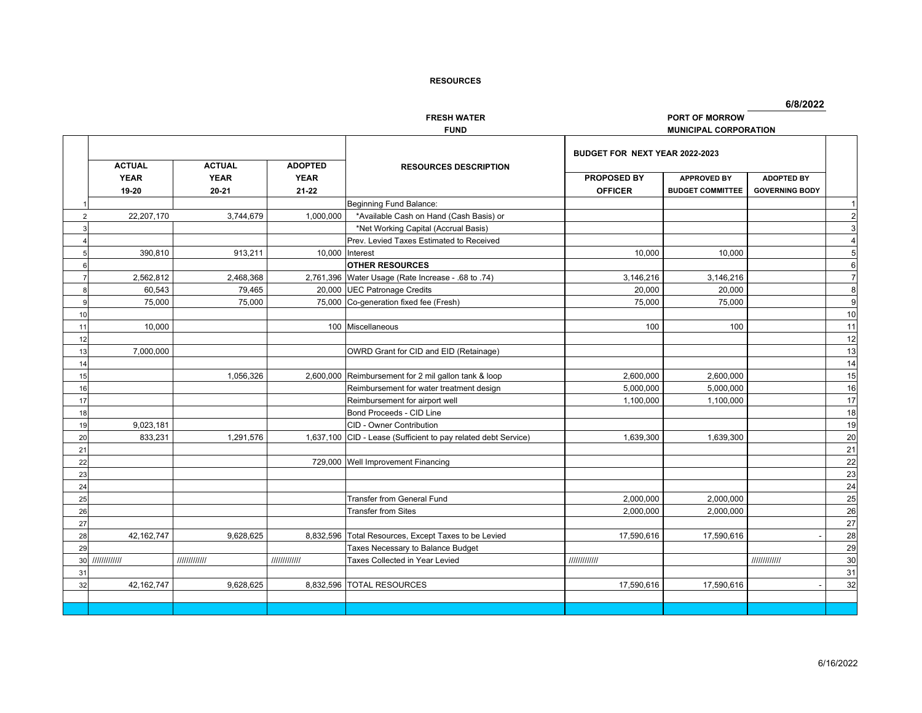**FRESH WATER PORT OF MORROW**

**6/8/2022**

|    |               |               |                | <b>FUND</b>                                          |                                | <b>MUNICIPAL CORPORATION</b> |                       |                         |
|----|---------------|---------------|----------------|------------------------------------------------------|--------------------------------|------------------------------|-----------------------|-------------------------|
|    | <b>ACTUAL</b> | <b>ACTUAL</b> | <b>ADOPTED</b> | <b>RESOURCES DESCRIPTION</b>                         | BUDGET FOR NEXT YEAR 2022-2023 |                              |                       |                         |
|    | <b>YEAR</b>   | <b>YEAR</b>   | <b>YEAR</b>    |                                                      | PROPOSED BY                    | <b>APPROVED BY</b>           | <b>ADOPTED BY</b>     |                         |
|    | 19-20         | $20 - 21$     | $21 - 22$      |                                                      | <b>OFFICER</b>                 | <b>BUDGET COMMITTEE</b>      | <b>GOVERNING BODY</b> |                         |
|    |               |               |                | Beginning Fund Balance:                              |                                |                              |                       | $\overline{\mathbf{1}}$ |
| 2  | 22,207,170    | 3,744,679     | 1,000,000      | *Available Cash on Hand (Cash Basis) or              |                                |                              |                       | $\overline{2}$          |
|    |               |               |                | *Net Working Capital (Accrual Basis)                 |                                |                              |                       | 3                       |
|    |               |               |                | Prev. Levied Taxes Estimated to Received             |                                |                              |                       | $\overline{4}$          |
|    | 390,810       | 913,211       | 10,000         | Interest                                             | 10,000                         | 10,000                       |                       | 5                       |
|    |               |               |                | <b>OTHER RESOURCES</b>                               |                                |                              |                       | 6                       |
|    | 2,562,812     | 2,468,368     |                | 2,761,396 Water Usage (Rate Increase - .68 to .74)   | 3,146,216                      | 3,146,216                    |                       | $\overline{7}$          |
|    | 60,543        | 79,465        |                | 20,000 UEC Patronage Credits                         | 20,000                         | 20,000                       |                       | 8                       |
|    | 75,000        | 75,000        |                | 75,000 Co-generation fixed fee (Fresh)               | 75,000                         | 75,000                       |                       | g                       |
| 10 |               |               |                |                                                      |                                |                              |                       | 10                      |
| 11 | 10,000        |               |                | 100 Miscellaneous                                    | 100                            | 100                          |                       | 11                      |
| 12 |               |               |                |                                                      |                                |                              |                       | 12                      |
| 13 | 7,000,000     |               |                | OWRD Grant for CID and EID (Retainage)               |                                |                              |                       | 13                      |
| 14 |               |               |                |                                                      |                                |                              |                       | 14                      |
| 15 |               | 1,056,326     |                | 2,600,000 Reimbursement for 2 mil gallon tank & loop | 2,600,000                      | 2,600,000                    |                       | 15                      |
| 16 |               |               |                | Reimbursement for water treatment design             | 5,000,000                      | 5,000,000                    |                       | 16                      |
| 17 |               |               |                | Reimbursement for airport well                       | 1,100,000                      | 1,100,000                    |                       | 17                      |
| 18 |               |               |                | Bond Proceeds - CID Line                             |                                |                              |                       | 18                      |
| 19 | 9,023,181     |               |                | CID - Owner Contribution                             |                                |                              |                       | 19                      |
| 20 | 833.231       | 1.291.576     | 1.637.100      | CID - Lease (Sufficient to pay related debt Service) | 1.639.300                      | 1.639.300                    |                       | 20                      |
| 21 |               |               |                |                                                      |                                |                              |                       | 21                      |
| 22 |               |               |                | 729,000 Well Improvement Financing                   |                                |                              |                       | 22                      |
| 23 |               |               |                |                                                      |                                |                              |                       | 23                      |
| 24 |               |               |                |                                                      |                                |                              |                       | 24                      |
| 25 |               |               |                | <b>Transfer from General Fund</b>                    | 2,000,000                      | 2,000,000                    |                       | 25                      |
| 26 |               |               |                | <b>Transfer from Sites</b>                           | 2,000,000                      | 2,000,000                    |                       | 26                      |
| 27 |               |               |                |                                                      |                                |                              |                       | 27                      |
| 28 | 42,162,747    | 9,628,625     | 8,832,596      | Total Resources, Except Taxes to be Levied           | 17,590,616                     | 17,590,616                   |                       | 28                      |
| 29 |               |               |                | Taxes Necessary to Balance Budget                    |                                |                              |                       | 29                      |
| 30 | 111111111111  | 111111111111  | 111111111111   | Taxes Collected in Year Levied                       | 111111111111                   |                              | 111111111111          | 30                      |
| 31 |               |               |                |                                                      |                                |                              |                       | 31                      |
| 32 | 42,162,747    | 9,628,625     | 8,832,596      | <b>TOTAL RESOURCES</b>                               | 17,590,616                     | 17,590,616                   |                       | 32                      |
|    |               |               |                |                                                      |                                |                              |                       |                         |
|    |               |               |                |                                                      |                                |                              |                       |                         |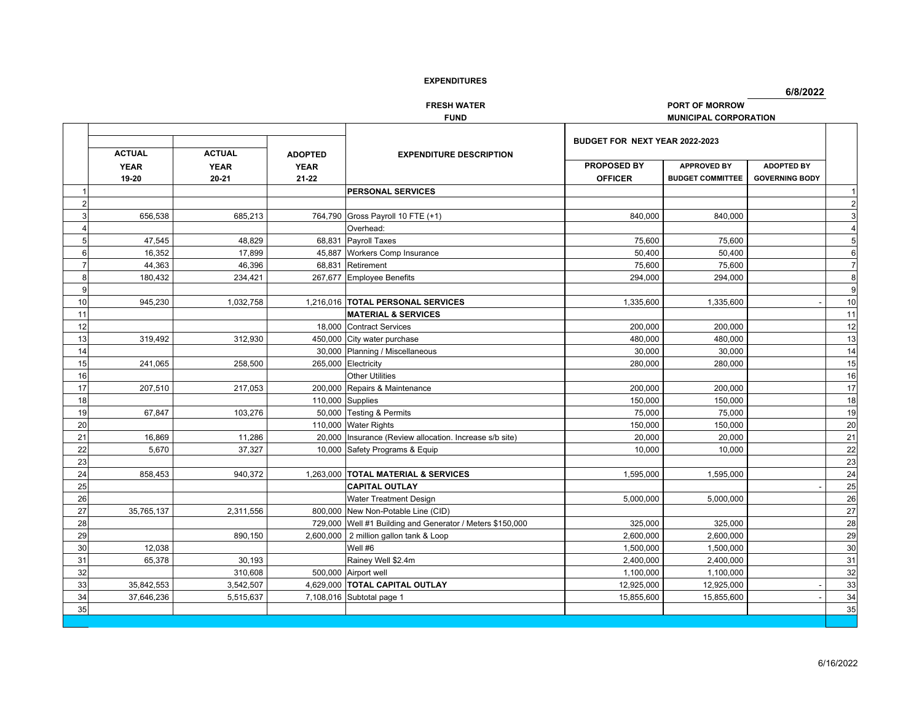**6/8/2022**

**FRESH WATER PORT OF MORROW**

 $\overline{\phantom{a}}$ 

**FUND MUNICIPAL CORPORATION**

|                |               |               |                |                                                           | BUDGET FOR NEXT YEAR 2022-2023 |                         |                       |                  |
|----------------|---------------|---------------|----------------|-----------------------------------------------------------|--------------------------------|-------------------------|-----------------------|------------------|
|                | <b>ACTUAL</b> | <b>ACTUAL</b> | <b>ADOPTED</b> | <b>EXPENDITURE DESCRIPTION</b>                            |                                |                         |                       |                  |
|                | <b>YEAR</b>   | <b>YEAR</b>   | <b>YEAR</b>    |                                                           | PROPOSED BY                    | <b>APPROVED BY</b>      | <b>ADOPTED BY</b>     |                  |
|                | 19-20         | $20 - 21$     | $21 - 22$      |                                                           | <b>OFFICER</b>                 | <b>BUDGET COMMITTEE</b> | <b>GOVERNING BODY</b> |                  |
|                |               |               |                | <b>PERSONAL SERVICES</b>                                  |                                |                         |                       | -1               |
| 2              |               |               |                |                                                           |                                |                         |                       | $\overline{2}$   |
| 3              | 656,538       | 685,213       | 764,790        | Gross Payroll 10 FTE (+1)                                 | 840,000                        | 840,000                 |                       | 3                |
|                |               |               |                | Overhead:                                                 |                                |                         |                       | $\overline{4}$   |
| 5              | 47.545        | 48.829        |                | 68,831 Payroll Taxes                                      | 75,600                         | 75.600                  |                       | 5                |
| 6              | 16,352        | 17,899        |                | 45,887 Workers Comp Insurance                             | 50,400                         | 50,400                  |                       | $6 \overline{6}$ |
| $\overline{7}$ | 44,363        | 46,396        | 68,831         | Retirement                                                | 75,600                         | 75,600                  |                       | $\overline{7}$   |
| 8              | 180,432       | 234,421       |                | 267,677 Employee Benefits                                 | 294,000                        | 294,000                 |                       | 8                |
| 9              |               |               |                |                                                           |                                |                         |                       | 9                |
| 10             | 945,230       | 1,032,758     |                | 1,216,016  TOTAL PERSONAL SERVICES                        | 1,335,600                      | 1,335,600               |                       | 10               |
| 11             |               |               |                | <b>MATERIAL &amp; SERVICES</b>                            |                                |                         |                       | 11               |
| 12             |               |               |                | 18.000 Contract Services                                  | 200,000                        | 200,000                 |                       | 12               |
| 13             | 319,492       | 312,930       |                | 450,000 City water purchase                               | 480,000                        | 480,000                 |                       | 13               |
| 14             |               |               |                | 30,000 Planning / Miscellaneous                           | 30,000                         | 30,000                  |                       | 14               |
| 15             | 241,065       | 258,500       | 265,000        | Electricity                                               | 280,000                        | 280,000                 |                       | 15               |
| 16             |               |               |                | <b>Other Utilities</b>                                    |                                |                         |                       | 16               |
| 17             | 207,510       | 217,053       |                | 200,000 Repairs & Maintenance                             | 200,000                        | 200,000                 |                       | 17               |
| 18             |               |               |                | 110,000 Supplies                                          | 150,000                        | 150,000                 |                       | 18               |
| 19             | 67.847        | 103,276       |                | 50,000 Testing & Permits                                  | 75,000                         | 75,000                  |                       | 19               |
| 20             |               |               |                | 110,000 Water Rights                                      | 150,000                        | 150,000                 |                       | 20               |
| 21             | 16,869        | 11,286        |                | 20,000 Insurance (Review allocation. Increase s/b site)   | 20,000                         | 20,000                  |                       | 21               |
| 22             | 5,670         | 37,327        |                | 10,000 Safety Programs & Equip                            | 10,000                         | 10,000                  |                       | 22               |
| 23             |               |               |                |                                                           |                                |                         |                       | 23               |
| 24             | 858,453       | 940,372       |                | 1,263,000 TOTAL MATERIAL & SERVICES                       | 1,595,000                      | 1,595,000               |                       | 24               |
| 25             |               |               |                | <b>CAPITAL OUTLAY</b>                                     |                                |                         |                       | 25               |
| 26             |               |               |                | <b>Water Treatment Design</b>                             | 5,000,000                      | 5,000,000               |                       | 26               |
| 27             | 35,765,137    | 2,311,556     |                | 800,000 New Non-Potable Line (CID)                        |                                |                         |                       | 27               |
| 28             |               |               |                | 729,000 Well #1 Building and Generator / Meters \$150,000 | 325,000                        | 325,000                 |                       | 28               |
| 29             |               | 890,150       |                | 2,600,000 2 million gallon tank & Loop                    | 2,600,000                      | 2,600,000               |                       | 29               |
| 30             | 12,038        |               |                | Well #6                                                   | 1,500,000                      | 1,500,000               |                       | 30               |
| 31             | 65,378        | 30,193        |                | Rainey Well \$2.4m                                        | 2,400,000                      | 2,400,000               |                       | 31               |
| 32             |               | 310,608       |                | 500,000 Airport well                                      | 1,100,000                      | 1,100,000               |                       | 32               |
| 33             | 35,842,553    | 3,542,507     |                | 4,629,000 TOTAL CAPITAL OUTLAY                            | 12,925,000                     | 12,925,000              |                       | 33               |
| 34             | 37,646,236    | 5,515,637     |                | 7,108,016 Subtotal page 1                                 | 15,855,600                     | 15,855,600              |                       | 34               |
| 35             |               |               |                |                                                           |                                |                         |                       | 35               |
|                |               |               |                |                                                           |                                |                         |                       |                  |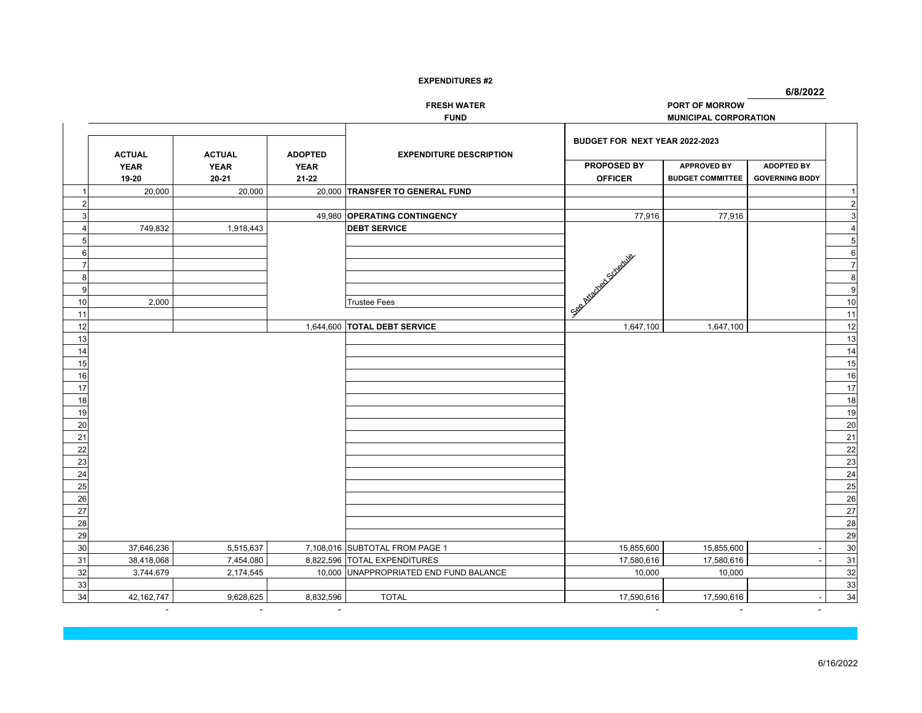**6/8/2022**

**FRESH WATER PORT OF MORROW**

**FUND MUNICIPAL CORPORATION**

|    | <b>ACTUAL</b> | <b>ACTUAL</b> | <b>ADOPTED</b> | <b>EXPENDITURE DESCRIPTION</b>         | BUDGET FOR NEXT YEAR 2022-2023 |                         |                       |                                      |
|----|---------------|---------------|----------------|----------------------------------------|--------------------------------|-------------------------|-----------------------|--------------------------------------|
|    | <b>YEAR</b>   | <b>YEAR</b>   | <b>YEAR</b>    |                                        | PROPOSED BY                    | <b>APPROVED BY</b>      | <b>ADOPTED BY</b>     |                                      |
|    | 19-20         | $20 - 21$     | 21-22          |                                        | <b>OFFICER</b>                 | <b>BUDGET COMMITTEE</b> | <b>GOVERNING BODY</b> |                                      |
|    | 20,000        | 20,000        |                | 20,000 TRANSFER TO GENERAL FUND        |                                |                         |                       |                                      |
|    |               |               |                |                                        |                                |                         |                       | $\overline{c}$                       |
|    |               |               |                | 49,980 OPERATING CONTINGENCY           | 77,916                         | 77,916                  |                       | 3                                    |
|    | 749,832       | 1,918,443     |                | <b>DEBT SERVICE</b>                    |                                |                         |                       | $\overline{4}$                       |
|    |               |               |                |                                        |                                |                         |                       | $\overline{\overline{\overline{5}}}$ |
| Բ  |               |               |                |                                        |                                |                         |                       | $6\phantom{a}$                       |
|    |               |               |                |                                        |                                |                         |                       | $\overline{7}$                       |
|    |               |               |                |                                        |                                |                         |                       | 8                                    |
| q  |               |               |                |                                        | L.See Assembly of School and   |                         |                       | $\boldsymbol{9}$                     |
| 10 | 2,000         |               |                | <b>Trustee Fees</b>                    |                                |                         |                       | 10                                   |
| 11 |               |               |                |                                        |                                |                         |                       | 11                                   |
| 12 |               |               |                | 1,644,600 TOTAL DEBT SERVICE           | 1,647,100                      | 1,647,100               |                       | 12                                   |
| 13 |               |               |                |                                        |                                |                         |                       | 13                                   |
| 14 |               |               |                |                                        |                                |                         |                       | $\overline{14}$                      |
| 15 |               |               |                |                                        |                                |                         |                       | 15                                   |
| 16 |               |               |                |                                        |                                |                         |                       | 16                                   |
| 17 |               |               |                |                                        |                                |                         |                       | 17                                   |
| 18 |               |               |                |                                        |                                |                         |                       | 18                                   |
| 19 |               |               |                |                                        |                                |                         |                       | 19                                   |
| 20 |               |               |                |                                        |                                |                         |                       | 20                                   |
| 21 |               |               |                |                                        |                                |                         |                       | 21                                   |
| 22 |               |               |                |                                        |                                |                         |                       | 22                                   |
| 23 |               |               |                |                                        |                                |                         |                       | 23                                   |
| 24 |               |               |                |                                        |                                |                         |                       | 24                                   |
| 25 |               |               |                |                                        |                                |                         |                       | 25                                   |
| 26 |               |               |                |                                        |                                |                         |                       | 26                                   |
| 27 |               |               |                |                                        |                                |                         |                       | 27                                   |
| 28 |               |               |                |                                        |                                |                         |                       | 28                                   |
| 29 |               |               |                |                                        |                                |                         |                       | 29                                   |
| 30 | 37,646,236    | 5,515,637     |                | 7,108,016 SUBTOTAL FROM PAGE 1         | 15,855,600                     | 15,855,600              |                       | 30                                   |
| 31 | 38,418,068    | 7,454,080     |                | 8,822,596 TOTAL EXPENDITURES           | 17,580,616                     | 17,580,616              |                       | 31                                   |
| 32 | 3,744,679     | 2,174,545     |                | 10,000 UNAPPROPRIATED END FUND BALANCE | 10,000                         | 10,000                  |                       | 32                                   |
| 33 |               |               |                |                                        |                                |                         |                       | 33                                   |
| 34 | 42,162,747    | 9,628,625     | 8,832,596      | <b>TOTAL</b>                           | 17,590,616                     | 17,590,616              |                       | 34                                   |

- - - - -

-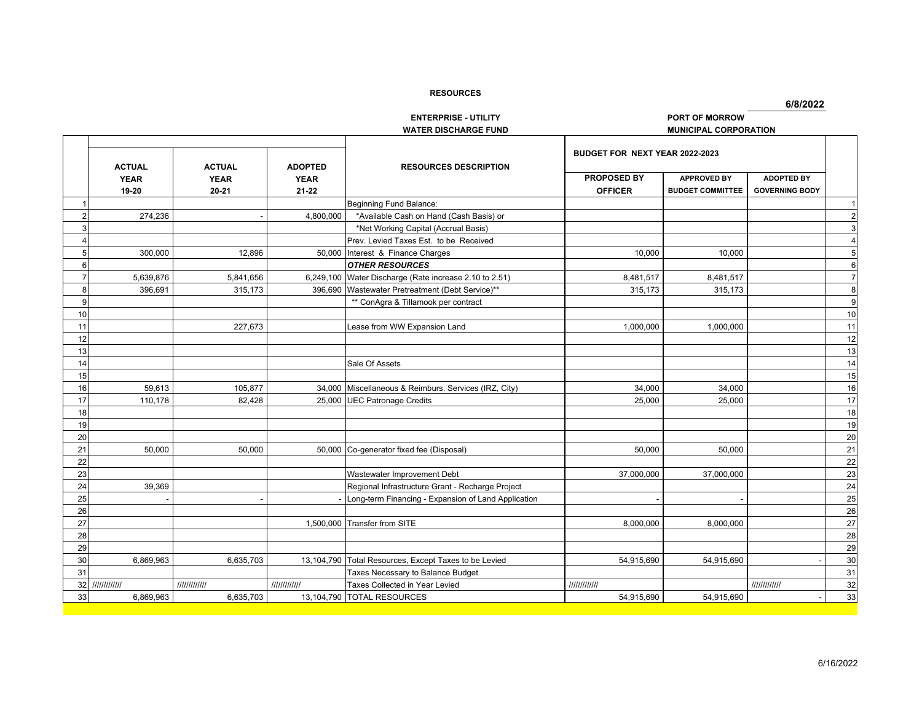**6/8/2022**

## **ENTERPRISE - UTILITY PORT OF MORROWWATER DISCHARGE FUND MUNICIPAL CORPORATION**

10

12

13

14

15

18

19

20

22

23

26

28

29

31

|                  |                                       |                                           |                                            |                                                       | BUDGET FOR NEXT YEAR 2022-2023       |                                               |                                            |                |
|------------------|---------------------------------------|-------------------------------------------|--------------------------------------------|-------------------------------------------------------|--------------------------------------|-----------------------------------------------|--------------------------------------------|----------------|
|                  | <b>ACTUAL</b><br><b>YEAR</b><br>19-20 | <b>ACTUAL</b><br><b>YEAR</b><br>$20 - 21$ | <b>ADOPTED</b><br><b>YEAR</b><br>$21 - 22$ | <b>RESOURCES DESCRIPTION</b>                          | <b>PROPOSED BY</b><br><b>OFFICER</b> | <b>APPROVED BY</b><br><b>BUDGET COMMITTEE</b> | <b>ADOPTED BY</b><br><b>GOVERNING BODY</b> |                |
|                  |                                       |                                           |                                            | Beginning Fund Balance:                               |                                      |                                               |                                            |                |
|                  | 274,236                               |                                           | 4,800,000                                  | *Available Cash on Hand (Cash Basis) or               |                                      |                                               |                                            | $\overline{2}$ |
|                  |                                       |                                           |                                            | *Net Working Capital (Accrual Basis)                  |                                      |                                               |                                            | 3              |
|                  |                                       |                                           |                                            | Prev. Levied Taxes Est. to be Received                |                                      |                                               |                                            |                |
|                  | 300,000                               | 12,896                                    | 50.000                                     | Interest & Finance Charges                            | 10,000                               | 10,000                                        |                                            |                |
| $6 \overline{6}$ |                                       |                                           |                                            | <b>OTHER RESOURCES</b>                                |                                      |                                               |                                            | 6              |
|                  | 5,639,876                             | 5,841,656                                 | 6,249,100                                  | Water Discharge (Rate increase 2.10 to 2.51)          | 8,481,517                            | 8,481,517                                     |                                            |                |
| 8                | 396,691                               | 315,173                                   |                                            | 396,690 Wastewater Pretreatment (Debt Service)**      | 315,173                              | 315,173                                       |                                            | 8              |
| 9                |                                       |                                           |                                            | ** ConAgra & Tillamook per contract                   |                                      |                                               |                                            | g              |
| 10               |                                       |                                           |                                            |                                                       |                                      |                                               |                                            | 10             |
| $\overline{11}$  |                                       | 227,673                                   |                                            | Lease from WW Expansion Land                          | 1,000,000                            | 1,000,000                                     |                                            | 11             |
| 12               |                                       |                                           |                                            |                                                       |                                      |                                               |                                            | 12             |
| $\overline{13}$  |                                       |                                           |                                            |                                                       |                                      |                                               |                                            | 13             |
| 14               |                                       |                                           |                                            | Sale Of Assets                                        |                                      |                                               |                                            | 14             |
| 15               |                                       |                                           |                                            |                                                       |                                      |                                               |                                            | 15             |
| 16               | 59,613                                | 105,877                                   |                                            | 34,000 Miscellaneous & Reimburs. Services (IRZ, City) | 34,000                               | 34,000                                        |                                            | 16             |
| $\overline{17}$  | 110,178                               | 82,428                                    |                                            | 25,000 UEC Patronage Credits                          | 25,000                               | 25,000                                        |                                            | 17             |
| $\overline{18}$  |                                       |                                           |                                            |                                                       |                                      |                                               |                                            | 18             |
| 19               |                                       |                                           |                                            |                                                       |                                      |                                               |                                            | 19             |
|                  |                                       |                                           |                                            |                                                       |                                      |                                               |                                            | 20             |
|                  | 50.000                                | 50.000                                    |                                            | 50,000 Co-generator fixed fee (Disposal)              | 50.000                               | 50.000                                        |                                            | 21             |
|                  |                                       |                                           |                                            |                                                       |                                      |                                               |                                            | 22             |
|                  |                                       |                                           |                                            | Wastewater Improvement Debt                           | 37,000,000                           | 37,000,000                                    |                                            | 23             |
|                  | 39,369                                |                                           |                                            | Regional Infrastructure Grant - Recharge Project      |                                      |                                               |                                            | 24             |
|                  |                                       |                                           |                                            | Long-term Financing - Expansion of Land Application   |                                      |                                               |                                            | 25             |
|                  |                                       |                                           |                                            |                                                       |                                      |                                               |                                            | $\Omega$       |

| 9         |         |         | ** ConAgra & Tillamook per contract                   |            |            | g  |
|-----------|---------|---------|-------------------------------------------------------|------------|------------|----|
| 10        |         |         |                                                       |            |            | 10 |
|           |         | 227,673 | Lease from WW Expansion Land                          | 1,000,000  | 1,000,000  | 11 |
|           |         |         |                                                       |            |            | 12 |
|           |         |         |                                                       |            |            | 13 |
| 14        |         |         | Sale Of Assets                                        |            |            | 14 |
|           |         |         |                                                       |            |            | 15 |
| 16        | 59,613  | 105,877 | 34,000 Miscellaneous & Reimburs. Services (IRZ, City) | 34,000     | 34,000     | 16 |
|           | 110,178 | 82,428  | 25,000 UEC Patronage Credits                          | 25,000     | 25,000     | 17 |
| 18        |         |         |                                                       |            |            | 18 |
| 19        |         |         |                                                       |            |            | 19 |
| 20        |         |         |                                                       |            |            | 20 |
|           | 50,000  | 50,000  | 50,000 Co-generator fixed fee (Disposal)              | 50,000     | 50,000     | 21 |
| <u>22</u> |         |         |                                                       |            |            | 22 |
| 23        |         |         | Wastewater Improvement Debt                           | 37,000,000 | 37,000,000 | 23 |
| 24        | 39,369  |         | Regional Infrastructure Grant - Recharge Project      |            |            | 24 |
| 25        |         |         | Long-term Financing - Expansion of Land Application   |            |            | 25 |
| <u>26</u> |         |         |                                                       |            |            | 26 |
| 27        |         |         | 1,500,000 Transfer from SITE                          | 8,000,000  | 8,000,000  | 27 |

28

29

Taxes Necessary to Balance Budget 31<br>
Taxes Collected in Year Levied **32**<br> **Taxes Collected in Year Levied 32** 

30 6,869,963 6,635,703 13,104,790 Total Resources, Except Taxes to be Levied 54,915,690 54,915,690 54,915,690

33 6,869,963 6,635,703 13,104,790 TOTAL RESOURCES 6 1 54,915,690 54,915,690 54,915,690

32 ///////////// ///////////// ///////////// Taxes Collected in Year Levied ///////////// ///////////// 32

 $\frac{29}{30}$ 

33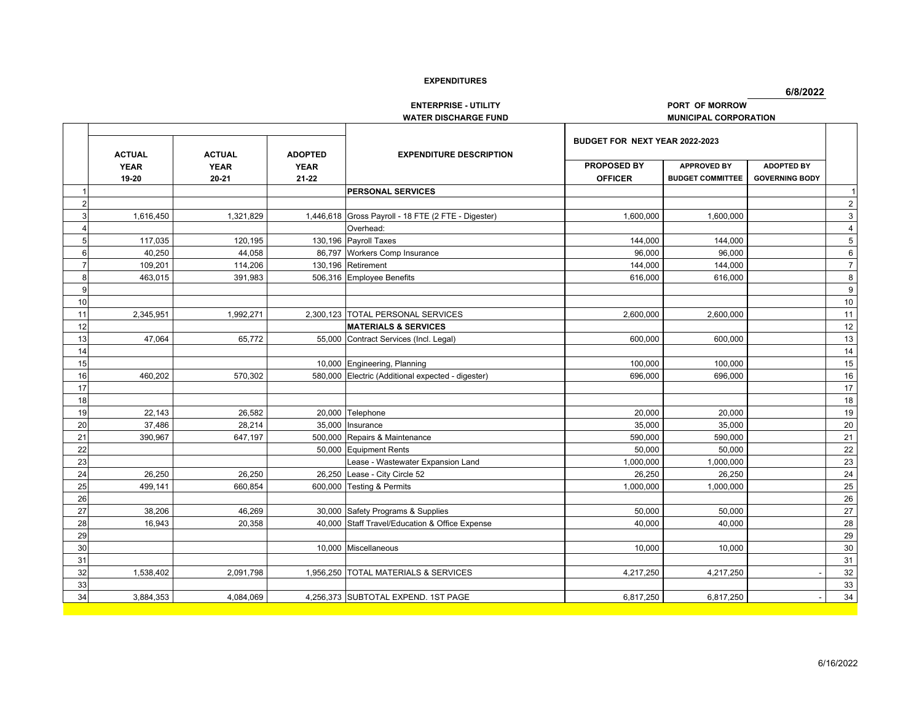**6/8/2022**

**ENTERPRISE - UTILITY** *PORT OF MORROW* 

|                |               |               |                | <b>WATER DISCHARGE FUND</b>                         |                                | <b>MUNICIPAL CORPORATION</b> |                       |                  |
|----------------|---------------|---------------|----------------|-----------------------------------------------------|--------------------------------|------------------------------|-----------------------|------------------|
|                | <b>ACTUAL</b> | <b>ACTUAL</b> | <b>ADOPTED</b> | <b>EXPENDITURE DESCRIPTION</b>                      | BUDGET FOR NEXT YEAR 2022-2023 |                              |                       |                  |
|                | <b>YEAR</b>   | <b>YEAR</b>   | <b>YEAR</b>    |                                                     | <b>PROPOSED BY</b>             | <b>APPROVED BY</b>           | <b>ADOPTED BY</b>     |                  |
|                | 19-20         | $20 - 21$     | $21 - 22$      |                                                     | <b>OFFICER</b>                 | <b>BUDGET COMMITTEE</b>      | <b>GOVERNING BODY</b> |                  |
|                |               |               |                | <b>PERSONAL SERVICES</b>                            |                                |                              |                       |                  |
| $\overline{2}$ |               |               |                |                                                     |                                |                              |                       | $\overline{2}$   |
| 3              | 1,616,450     | 1,321,829     |                | 1,446,618 Gross Payroll - 18 FTE (2 FTE - Digester) | 1,600,000                      | 1,600,000                    |                       | 3                |
| 4              |               |               |                | Overhead:                                           |                                |                              |                       | $\overline{4}$   |
| 5              | 117,035       | 120,195       |                | 130,196 Payroll Taxes                               | 144,000                        | 144,000                      |                       | $\overline{5}$   |
| 6              | 40,250        | 44,058        |                | 86,797 Workers Comp Insurance                       | 96,000                         | 96,000                       |                       | $\,6\,$          |
| $\overline{7}$ | 109,201       | 114,206       |                | 130,196 Retirement                                  | 144,000                        | 144,000                      |                       | $\overline{7}$   |
| 8              | 463,015       | 391,983       |                | 506,316 Employee Benefits                           | 616,000                        | 616,000                      |                       | 8                |
| 9              |               |               |                |                                                     |                                |                              |                       | $\boldsymbol{9}$ |
| 10             |               |               |                |                                                     |                                |                              |                       | $10$             |
| 11             | 2,345,951     | 1,992,271     |                | 2,300,123 TOTAL PERSONAL SERVICES                   | 2,600,000                      | 2,600,000                    |                       | 11               |
| 12             |               |               |                | <b>MATERIALS &amp; SERVICES</b>                     |                                |                              |                       | 12               |
| 13             | 47,064        | 65,772        |                | 55,000 Contract Services (Incl. Legal)              | 600,000                        | 600,000                      |                       | 13               |
| 14             |               |               |                |                                                     |                                |                              |                       | 14               |
| 15             |               |               |                | 10,000 Engineering, Planning                        | 100,000                        | 100,000                      |                       | 15               |
| 16             | 460.202       | 570.302       |                | 580.000 Electric (Additional expected - digester)   | 696.000                        | 696,000                      |                       | 16               |
| 17             |               |               |                |                                                     |                                |                              |                       | $\overline{17}$  |
| 18             |               |               |                |                                                     |                                |                              |                       | 18               |
| 19             | 22,143        | 26,582        |                | 20,000 Telephone                                    | 20,000                         | 20,000                       |                       | 19               |
| 20             | 37,486        | 28,214        |                | 35,000 Insurance                                    | 35,000                         | 35,000                       |                       | $20\,$           |
| 21             | 390,967       | 647,197       |                | 500,000 Repairs & Maintenance                       | 590,000                        | 590,000                      |                       | 21               |
| 22             |               |               |                | 50,000 Equipment Rents                              | 50,000                         | 50,000                       |                       | 22               |
| 23             |               |               |                | Lease - Wastewater Expansion Land                   | 1,000,000                      | 1,000,000                    |                       | 23               |
| 24             | 26,250        | 26,250        |                | 26,250 Lease - City Circle 52                       | 26,250                         | 26,250                       |                       | 24               |
| 25             | 499,141       | 660,854       |                | 600,000 Testing & Permits                           | 1,000,000                      | 1,000,000                    |                       | 25               |
| 26             |               |               |                |                                                     |                                |                              |                       | $\overline{26}$  |
| 27             | 38,206        | 46,269        |                | 30,000 Safety Programs & Supplies                   | 50,000                         | 50,000                       |                       | $27\,$           |
| 28             | 16,943        | 20.358        |                | 40,000 Staff Travel/Education & Office Expense      | 40.000                         | 40.000                       |                       | 28               |
| 29             |               |               |                |                                                     |                                |                              |                       | 29               |
| 30             |               |               |                | 10,000 Miscellaneous                                | 10,000                         | 10,000                       |                       | 30               |
| 31             |               |               |                |                                                     |                                |                              |                       | 31               |
| 32             | 1,538,402     | 2,091,798     |                | 1,956,250 TOTAL MATERIALS & SERVICES                | 4,217,250                      | 4,217,250                    |                       | 32               |
| 33             |               |               |                |                                                     |                                |                              |                       | 33               |
| 34             | 3,884,353     | 4,084,069     |                | 4,256,373 SUBTOTAL EXPEND. 1ST PAGE                 | 6,817,250                      | 6,817,250                    |                       | 34               |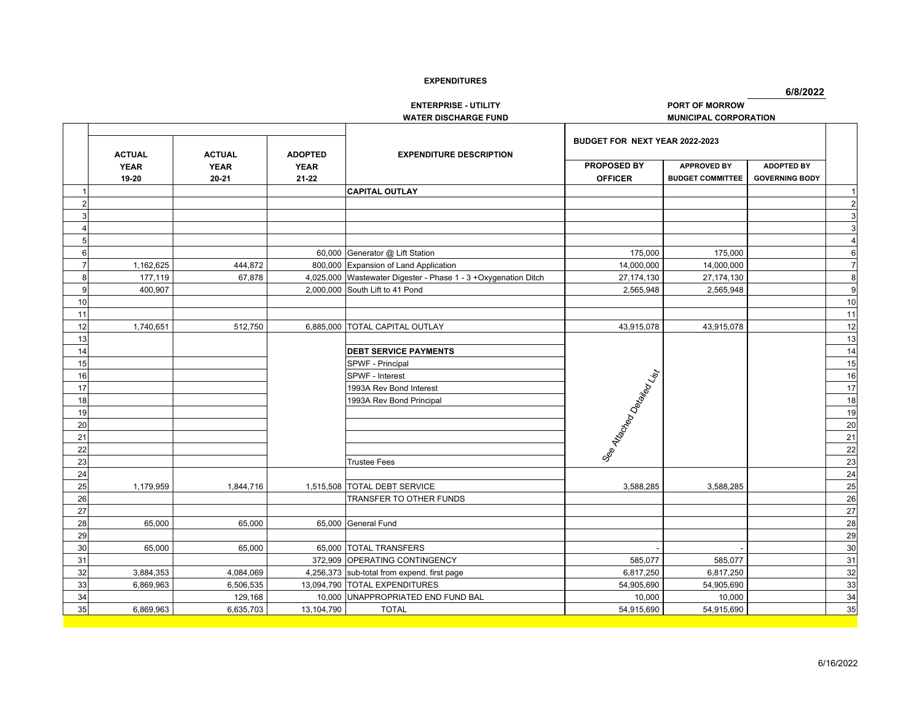**6/8/2022**

**ENTERPRISE - UTILITY PORT OF MORROW**

**WATER DISCHARGE FUND MUNICIPAL CORPORATION**

|    |                                       |                                       |                                            |                                                                | BUDGET FOR NEXT YEAR 2022-2023                               |                                               |                                            |                 |
|----|---------------------------------------|---------------------------------------|--------------------------------------------|----------------------------------------------------------------|--------------------------------------------------------------|-----------------------------------------------|--------------------------------------------|-----------------|
|    | <b>ACTUAL</b><br><b>YEAR</b><br>19-20 | <b>ACTUAL</b><br><b>YEAR</b><br>20-21 | <b>ADOPTED</b><br><b>YEAR</b><br>$21 - 22$ | <b>EXPENDITURE DESCRIPTION</b>                                 | <b>PROPOSED BY</b><br><b>OFFICER</b>                         | <b>APPROVED BY</b><br><b>BUDGET COMMITTEE</b> | <b>ADOPTED BY</b><br><b>GOVERNING BODY</b> |                 |
|    |                                       |                                       |                                            | <b>CAPITAL OUTLAY</b>                                          |                                                              |                                               |                                            |                 |
|    |                                       |                                       |                                            |                                                                |                                                              |                                               |                                            | $\overline{2}$  |
|    |                                       |                                       |                                            |                                                                |                                                              |                                               |                                            | 3               |
|    |                                       |                                       |                                            |                                                                |                                                              |                                               |                                            | 3               |
| 5  |                                       |                                       |                                            |                                                                |                                                              |                                               |                                            | $\overline{4}$  |
| 6  |                                       |                                       |                                            | 60,000 Generator @ Lift Station                                | 175,000                                                      | 175,000                                       |                                            | 6               |
|    | 1,162,625                             | 444,872                               |                                            | 800,000 Expansion of Land Application                          | 14,000,000                                                   | 14,000,000                                    |                                            | $\overline{7}$  |
| 8  | 177,119                               | 67,878                                |                                            | 4,025,000 Wastewater Digester - Phase 1 - 3 +Oxygenation Ditch | 27, 174, 130                                                 | 27, 174, 130                                  |                                            | 8               |
|    | 400,907                               |                                       |                                            | 2,000,000 South Lift to 41 Pond                                | 2,565,948                                                    | 2,565,948                                     |                                            | $\overline{9}$  |
| 10 |                                       |                                       |                                            |                                                                |                                                              |                                               |                                            | 10              |
| 11 |                                       |                                       |                                            |                                                                |                                                              |                                               |                                            | 11              |
| 12 | 1,740,651                             | 512,750                               |                                            | 6,885,000 TOTAL CAPITAL OUTLAY                                 | 43,915,078                                                   | 43,915,078                                    |                                            | 12              |
| 13 |                                       |                                       |                                            |                                                                |                                                              |                                               |                                            | 13              |
| 14 |                                       |                                       |                                            | <b>DEBT SERVICE PAYMENTS</b>                                   |                                                              |                                               |                                            | 14              |
| 15 |                                       |                                       |                                            | SPWF - Principal                                               |                                                              |                                               |                                            | $\overline{15}$ |
| 16 |                                       |                                       |                                            | SPWF - Interest                                                |                                                              |                                               |                                            | 16              |
| 17 |                                       |                                       |                                            | 1993A Rev Bond Interest                                        |                                                              |                                               |                                            | $\overline{17}$ |
| 18 |                                       |                                       |                                            | 1993A Rev Bond Principal                                       | I See Ate <sub>oriep</sub><br>Ateoriepe Ces <sub>tiepe</sub> |                                               |                                            | 18              |
| 19 |                                       |                                       |                                            |                                                                |                                                              |                                               |                                            | 19              |
| 20 |                                       |                                       |                                            |                                                                |                                                              |                                               |                                            | 20              |
| 21 |                                       |                                       |                                            |                                                                |                                                              |                                               |                                            | 21              |
| 22 |                                       |                                       |                                            |                                                                |                                                              |                                               |                                            | $\overline{22}$ |
| 23 |                                       |                                       |                                            | <b>Trustee Fees</b>                                            |                                                              |                                               |                                            | 23              |
| 24 |                                       |                                       |                                            |                                                                |                                                              |                                               |                                            | 24              |
| 25 | 1,179,959                             | 1,844,716                             | 1,515,508                                  | <b>TOTAL DEBT SERVICE</b>                                      | 3,588,285                                                    | 3,588,285                                     |                                            | 25              |
| 26 |                                       |                                       |                                            | TRANSFER TO OTHER FUNDS                                        |                                                              |                                               |                                            | 26              |
| 27 |                                       |                                       |                                            |                                                                |                                                              |                                               |                                            | 27              |
| 28 | 65,000                                | 65,000                                |                                            | 65,000 General Fund                                            |                                                              |                                               |                                            | 28              |
| 29 |                                       |                                       |                                            |                                                                |                                                              |                                               |                                            | 29              |
| 30 | 65,000                                | 65,000                                |                                            | 65,000 TOTAL TRANSFERS                                         |                                                              |                                               |                                            | 30              |
| 31 |                                       |                                       |                                            | 372,909 OPERATING CONTINGENCY                                  | 585,077                                                      | 585,077                                       |                                            | 31              |
| 32 | 3,884,353                             | 4,084,069                             |                                            | 4,256,373 sub-total from expend. first page                    | 6,817,250                                                    | 6,817,250                                     |                                            | 32              |
| 33 | 6,869,963                             | 6,506,535                             | 13,094,790                                 | <b>TOTAL EXPENDITURES</b>                                      | 54,905,690                                                   | 54,905,690                                    |                                            | 33              |
| 34 |                                       | 129,168                               | 10,000                                     | UNAPPROPRIATED END FUND BAL                                    | 10,000                                                       | 10,000                                        |                                            | 34              |
| 35 | 6,869,963                             | 6,635,703                             | 13,104,790                                 | <b>TOTAL</b>                                                   | 54,915,690                                                   | 54,915,690                                    |                                            | 35              |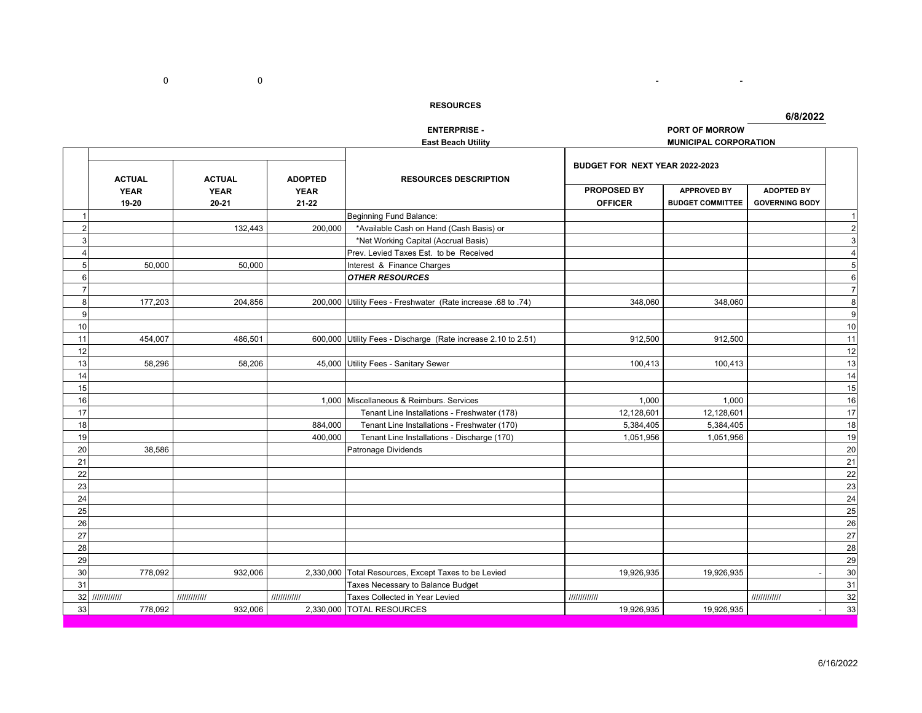- <u>- 1990 - 1990 - 1990 - 1990 - 1990 - 1990 - 1990 - 1990 - 1990 - 1990 - 1990 - 1990 - 1990 - 1990 - 1990 - 1990 - 1990 - 1990 - 1990 - 1990 - 1990 - 1990 - 1990 - 1990 - 1990 - 1990 - 1990 - 1990 - 1990 - 1990 - 1990 - </u>

|                         |                 |               |                          | <b>ENTERPRISE -</b>                                           |                                | PORT OF MORROW               |                       |                |
|-------------------------|-----------------|---------------|--------------------------|---------------------------------------------------------------|--------------------------------|------------------------------|-----------------------|----------------|
|                         |                 |               |                          | <b>East Beach Utility</b>                                     |                                | <b>MUNICIPAL CORPORATION</b> |                       |                |
|                         | <b>ACTUAL</b>   | <b>ACTUAL</b> | <b>ADOPTED</b>           | <b>RESOURCES DESCRIPTION</b>                                  | BUDGET FOR NEXT YEAR 2022-2023 |                              |                       |                |
|                         | <b>YEAR</b>     | <b>YEAR</b>   | <b>YEAR</b><br>$21 - 22$ |                                                               | PROPOSED BY                    | <b>APPROVED BY</b>           | <b>ADOPTED BY</b>     |                |
|                         | 19-20           | $20 - 21$     |                          |                                                               | <b>OFFICER</b>                 | <b>BUDGET COMMITTEE</b>      | <b>GOVERNING BODY</b> |                |
|                         |                 |               |                          | Beginning Fund Balance:                                       |                                |                              |                       | $\overline{1}$ |
| $\overline{2}$          |                 | 132,443       | 200,000                  | *Available Cash on Hand (Cash Basis) or                       |                                |                              |                       | $\overline{c}$ |
| 3                       |                 |               |                          | *Net Working Capital (Accrual Basis)                          |                                |                              |                       | 3              |
| $\overline{\mathbf{A}}$ |                 |               |                          | Prev. Levied Taxes Est. to be Received                        |                                |                              |                       | $\overline{4}$ |
| 5                       | 50,000          | 50,000        |                          | Interest & Finance Charges                                    |                                |                              |                       | 5              |
| 6                       |                 |               |                          | <b>OTHER RESOURCES</b>                                        |                                |                              |                       | 6              |
| $\overline{7}$          |                 |               |                          |                                                               |                                |                              |                       | $\overline{7}$ |
| $\bf{8}$                | 177,203         | 204,856       |                          | 200,000 Utility Fees - Freshwater (Rate increase .68 to .74)  | 348,060                        | 348,060                      |                       | 8              |
| 9                       |                 |               |                          |                                                               |                                |                              |                       | g              |
| 10                      |                 |               |                          |                                                               |                                |                              |                       | 10             |
| 11                      | 454,007         | 486,501       |                          | 600,000 Utility Fees - Discharge (Rate increase 2.10 to 2.51) | 912,500                        | 912,500                      |                       | 11             |
| 12                      |                 |               |                          |                                                               |                                |                              |                       | 12             |
| 13                      | 58,296          | 58,206        |                          | 45,000 Utility Fees - Sanitary Sewer                          | 100,413                        | 100,413                      |                       | 13             |
| 14                      |                 |               |                          |                                                               |                                |                              |                       | 14             |
| 15                      |                 |               |                          |                                                               |                                |                              |                       | 15             |
| 16                      |                 |               |                          | 1,000 Miscellaneous & Reimburs. Services                      | 1,000                          | 1,000                        |                       | 16             |
| 17                      |                 |               |                          | Tenant Line Installations - Freshwater (178)                  | 12,128,601                     | 12,128,601                   |                       | 17             |
| 18                      |                 |               | 884,000                  | Tenant Line Installations - Freshwater (170)                  | 5,384,405                      | 5,384,405                    |                       | 18             |
| 19                      |                 |               | 400,000                  | Tenant Line Installations - Discharge (170)                   | 1,051,956                      | 1,051,956                    |                       | 19             |
| 20                      | 38,586          |               |                          | Patronage Dividends                                           |                                |                              |                       | 20             |
| 21                      |                 |               |                          |                                                               |                                |                              |                       | 21             |
| 22                      |                 |               |                          |                                                               |                                |                              |                       | 22             |
| 23                      |                 |               |                          |                                                               |                                |                              |                       | 23             |
| 24                      |                 |               |                          |                                                               |                                |                              |                       | 24             |
| 25                      |                 |               |                          |                                                               |                                |                              |                       | 25             |
| 26                      |                 |               |                          |                                                               |                                |                              |                       | 26             |
| 27                      |                 |               |                          |                                                               |                                |                              |                       | 27             |
| 28                      |                 |               |                          |                                                               |                                |                              |                       | 28             |
| 29                      |                 |               |                          |                                                               |                                |                              |                       | 29             |
| 30                      | 778,092         | 932,006       |                          | 2,330,000 Total Resources, Except Taxes to be Levied          | 19,926,935                     | 19,926,935                   |                       | 30             |
| 31                      |                 |               |                          | Taxes Necessary to Balance Budget                             |                                |                              |                       | 31             |
|                         | 32 //////////// | 111111111111  | 111111111111             | Taxes Collected in Year Levied                                | 111111111111                   |                              | 111111111111          | 32             |
| 33                      | 778,092         | 932,006       |                          | 2,330,000 TOTAL RESOURCES                                     | 19,926,935                     | 19,926,935                   |                       | 33             |

0 0 -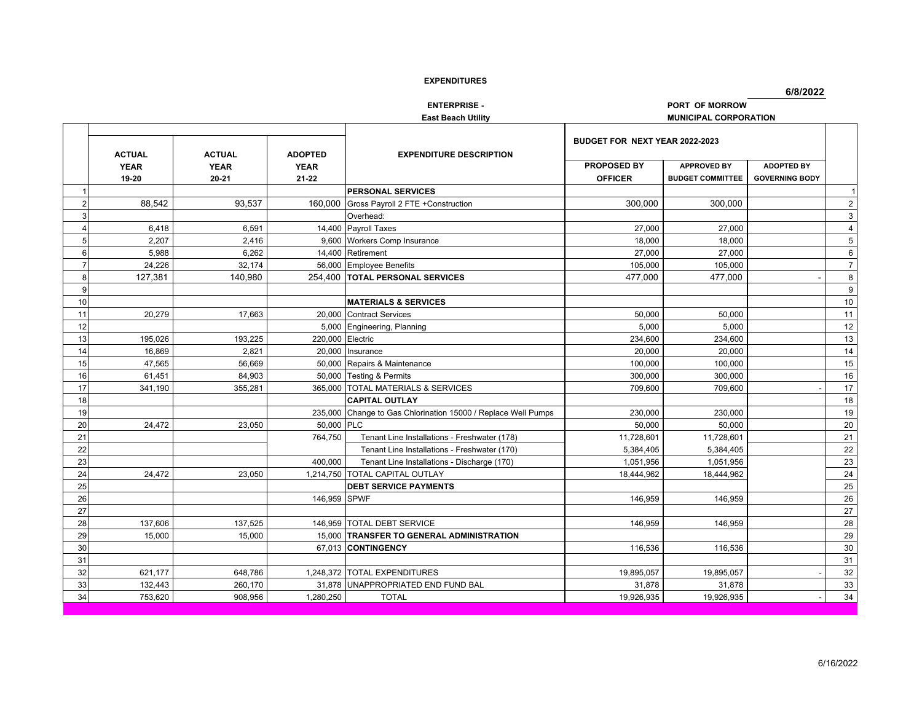**6/8/2022**

**ENTERPRISE - PORT OF MORROW**

**East Beach Utility** *MUNICIPAL CORPORATION* 

|    |                                       |                                       |                                            |                                                       | BUDGET FOR NEXT YEAR 2022-2023       |                                               |                                            |                  |
|----|---------------------------------------|---------------------------------------|--------------------------------------------|-------------------------------------------------------|--------------------------------------|-----------------------------------------------|--------------------------------------------|------------------|
|    | <b>ACTUAL</b><br><b>YEAR</b><br>19-20 | <b>ACTUAL</b><br><b>YEAR</b><br>20-21 | <b>ADOPTED</b><br><b>YEAR</b><br>$21 - 22$ | <b>EXPENDITURE DESCRIPTION</b>                        | <b>PROPOSED BY</b><br><b>OFFICER</b> | <b>APPROVED BY</b><br><b>BUDGET COMMITTEE</b> | <b>ADOPTED BY</b><br><b>GOVERNING BODY</b> |                  |
|    |                                       |                                       |                                            | <b>PERSONAL SERVICES</b>                              |                                      |                                               |                                            | 11               |
|    | 88,542                                | 93.537                                |                                            | 160,000 Gross Payroll 2 FTE + Construction            | 300,000                              | 300,000                                       |                                            | $\sqrt{2}$       |
| 3  |                                       |                                       |                                            | Overhead:                                             |                                      |                                               |                                            | 3                |
|    | 6,418                                 | 6,591                                 |                                            | 14,400 Payroll Taxes                                  | 27,000                               | 27,000                                        |                                            | $\sqrt{4}$       |
| 5  | 2.207                                 | 2.416                                 | 9.600                                      | <b>Workers Comp Insurance</b>                         | 18.000                               | 18.000                                        |                                            | $\overline{5}$   |
| 6  | 5,988                                 | 6,262                                 |                                            | 14,400 Retirement                                     | 27,000                               | 27,000                                        |                                            | $\,6\,$          |
| 7  | 24,226                                | 32,174                                | 56.000                                     | <b>Employee Benefits</b>                              | 105,000                              | 105,000                                       |                                            | $\overline{7}$   |
| 8  | 127,381                               | 140,980                               |                                            | 254,400 TOTAL PERSONAL SERVICES                       | 477,000                              | 477,000                                       |                                            | 8                |
| 9  |                                       |                                       |                                            |                                                       |                                      |                                               |                                            | $\boldsymbol{9}$ |
| 10 |                                       |                                       |                                            | <b>MATERIALS &amp; SERVICES</b>                       |                                      |                                               |                                            | $10\,$           |
| 11 | 20.279                                | 17.663                                |                                            | 20.000 Contract Services                              | 50,000                               | 50.000                                        |                                            | 11               |
| 12 |                                       |                                       |                                            | 5,000 Engineering, Planning                           | 5,000                                | 5,000                                         |                                            | 12               |
| 13 | 195,026                               | 193,225                               | 220,000 Electric                           |                                                       | 234,600                              | 234,600                                       |                                            | 13               |
| 14 | 16.869                                | 2.821                                 | 20.000                                     | Insurance                                             | 20.000                               | 20.000                                        |                                            | 14               |
| 15 | 47,565                                | 56,669                                |                                            | 50,000 Repairs & Maintenance                          | 100,000                              | 100,000                                       |                                            | 15               |
| 16 | 61,451                                | 84,903                                |                                            | 50,000 Testing & Permits                              | 300,000                              | 300,000                                       |                                            | 16               |
| 17 | 341,190                               | 355,281                               |                                            | 365,000 TOTAL MATERIALS & SERVICES                    | 709.600                              | 709.600                                       |                                            | 17               |
| 18 |                                       |                                       |                                            | <b>CAPITAL OUTLAY</b>                                 |                                      |                                               |                                            | 18               |
| 19 |                                       |                                       | 235,000                                    | Change to Gas Chlorination 15000 / Replace Well Pumps | 230,000                              | 230,000                                       |                                            | 19               |
| 20 | 24.472                                | 23.050                                | 50,000 PLC                                 |                                                       | 50.000                               | 50.000                                        |                                            | 20               |
| 21 |                                       |                                       | 764,750                                    | Tenant Line Installations - Freshwater (178)          | 11,728,601                           | 11,728,601                                    |                                            | 21               |
| 22 |                                       |                                       |                                            | Tenant Line Installations - Freshwater (170)          | 5,384,405                            | 5,384,405                                     |                                            | 22               |
| 23 |                                       |                                       | 400.000                                    | Tenant Line Installations - Discharge (170)           | 1,051,956                            | 1,051,956                                     |                                            | 23               |
| 24 | 24,472                                | 23,050                                | 1,214,750                                  | <b>TOTAL CAPITAL OUTLAY</b>                           | 18,444,962                           | 18,444,962                                    |                                            | 24               |
| 25 |                                       |                                       |                                            | <b>DEBT SERVICE PAYMENTS</b>                          |                                      |                                               |                                            | 25               |
| 26 |                                       |                                       | 146.959 SPWF                               |                                                       | 146,959                              | 146.959                                       |                                            | 26               |
| 27 |                                       |                                       |                                            |                                                       |                                      |                                               |                                            | 27               |
| 28 | 137,606                               | 137,525                               |                                            | 146.959 TOTAL DEBT SERVICE                            | 146,959                              | 146,959                                       |                                            | 28               |
| 29 | 15.000                                | 15.000                                |                                            | <b>15,000 TRANSFER TO GENERAL ADMINISTRATION</b>      |                                      |                                               |                                            | 29               |
| 30 |                                       |                                       |                                            | 67,013 CONTINGENCY                                    | 116,536                              | 116,536                                       |                                            | 30               |
| 31 |                                       |                                       |                                            |                                                       |                                      |                                               |                                            | 31               |
| 32 | 621,177                               | 648,786                               |                                            | 1.248.372 TOTAL EXPENDITURES                          | 19,895,057                           | 19,895,057                                    |                                            | 32               |
| 33 | 132.443                               | 260.170                               | 31.878                                     | UNAPPROPRIATED END FUND BAL                           | 31,878                               | 31.878                                        |                                            | 33               |
| 34 | 753,620                               | 908,956                               | 1,280,250                                  | <b>TOTAL</b>                                          | 19,926,935                           | 19,926,935                                    |                                            | $34\,$           |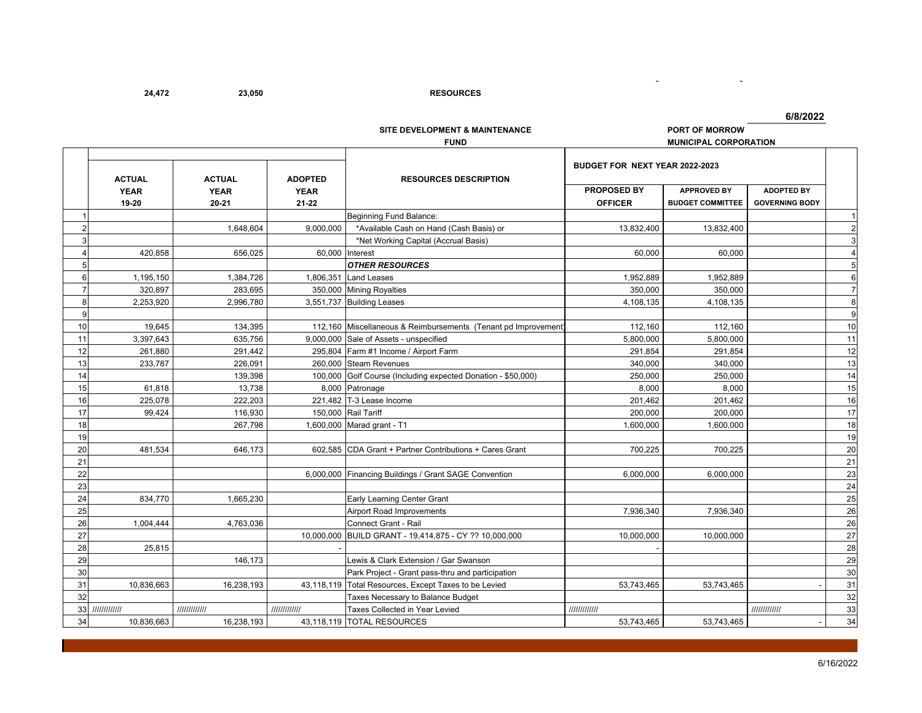**23,050 24,472 RESOURCES**

|  | 6/8/2022 |  |  |
|--|----------|--|--|

-

**SITE DEVELOPMENT & MAINTENANCE PORT OF MORROW**

- <u>- 1990 - 1990 - 1990 - 1990 - 1990 - 1990 - 1990 - 1990 - 1990 - 1990 - 1990 - 1990 - 1990 - 1990 - 1990 - 1990 - 1990 - 1990 - 1990 - 1990 - 1990 - 1990 - 1990 - 1990 - 1990 - 1990 - 1990 - 1990 - 1990 - 1990 - 1990 - </u>

|                |               |               |                | <b>FUND</b>                                                   |                                | MUNICIPAL CORPORATION   |                       |                       |
|----------------|---------------|---------------|----------------|---------------------------------------------------------------|--------------------------------|-------------------------|-----------------------|-----------------------|
|                | <b>ACTUAL</b> | <b>ACTUAL</b> | <b>ADOPTED</b> | <b>RESOURCES DESCRIPTION</b>                                  | BUDGET FOR NEXT YEAR 2022-2023 |                         |                       |                       |
|                | <b>YEAR</b>   | <b>YEAR</b>   | <b>YEAR</b>    |                                                               | PROPOSED BY                    | <b>APPROVED BY</b>      | <b>ADOPTED BY</b>     |                       |
|                | 19-20         | $20 - 21$     | $21 - 22$      |                                                               | <b>OFFICER</b>                 | <b>BUDGET COMMITTEE</b> | <b>GOVERNING BODY</b> |                       |
|                |               |               |                | Beginning Fund Balance:                                       |                                |                         |                       |                       |
| $\overline{2}$ |               | 1,648,604     | 9,000,000      | *Available Cash on Hand (Cash Basis) or                       | 13,832,400                     | 13,832,400              |                       | $\overline{2}$        |
| 3              |               |               |                | *Net Working Capital (Accrual Basis)                          |                                |                         |                       | 3                     |
| 4              | 420,858       | 656,025       |                | 60,000 Interest                                               | 60,000                         | 60,000                  |                       | $\boldsymbol{\Delta}$ |
| 5              |               |               |                | <b>OTHER RESOURCES</b>                                        |                                |                         |                       | 5                     |
| 6              | 1,195,150     | 1,384,726     | 1,806,351      | <b>Land Leases</b>                                            | 1,952,889                      | 1,952,889               |                       | 6                     |
| $\overline{7}$ | 320,897       | 283,695       | 350,000        | <b>Mining Royalties</b>                                       | 350,000                        | 350,000                 |                       | 7                     |
| 8              | 2,253,920     | 2,996,780     | 3,551,737      | <b>Building Leases</b>                                        | 4,108,135                      | 4,108,135               |                       | 8                     |
| 9              |               |               |                |                                                               |                                |                         |                       | g                     |
| 10             | 19,645        | 134,395       |                | 112,160 Miscellaneous & Reimbursements (Tenant pd Improvement | 112,160                        | 112,160                 |                       | 10                    |
| 11             | 3,397,643     | 635,756       |                | 9,000,000 Sale of Assets - unspecified                        | 5,800,000                      | 5,800,000               |                       | 11                    |
| 12             | 261,880       | 291,442       |                | 295,804 Farm #1 Income / Airport Farm                         | 291,854                        | 291,854                 |                       | 12                    |
| 13             | 233,787       | 226,091       |                | 260,000 Steam Revenues                                        | 340,000                        | 340,000                 |                       | 13                    |
| 14             |               | 139,398       |                | 100,000 Golf Course (Including expected Donation - \$50,000)  | 250,000                        | 250,000                 |                       | 14                    |
| 15             | 61,818        | 13,738        |                | 8,000 Patronage                                               | 8,000                          | 8.000                   |                       | 15                    |
| 16             | 225,078       | 222,203       |                | 221.482 T-3 Lease Income                                      | 201,462                        | 201.462                 |                       | 16                    |
| 17             | 99,424        | 116,930       |                | 150,000 Rail Tariff                                           | 200,000                        | 200,000                 |                       | 17                    |
| 18             |               | 267,798       |                | 1,600,000 Marad grant - T1                                    | 1,600,000                      | 1,600,000               |                       | 18                    |
| 19             |               |               |                |                                                               |                                |                         |                       | 19                    |
| 20             | 481.534       | 646.173       |                | 602.585 CDA Grant + Partner Contributions + Cares Grant       | 700.225                        | 700.225                 |                       | 20                    |
| 21             |               |               |                |                                                               |                                |                         |                       | 21                    |
| 22             |               |               |                | 6,000,000 Financing Buildings / Grant SAGE Convention         | 6,000,000                      | 6,000,000               |                       | 23                    |
| 23             |               |               |                |                                                               |                                |                         |                       | 24                    |
| 24             | 834.770       | 1.665.230     |                | Early Learning Center Grant                                   |                                |                         |                       | 25                    |
| 25             |               |               |                | Airport Road Improvements                                     | 7,936,340                      | 7,936,340               |                       | 26                    |
| 26             | 1,004,444     | 4,763,036     |                | Connect Grant - Rail                                          |                                |                         |                       | 26                    |
| 27             |               |               | 10,000,000     | BUILD GRANT - 19,414,875 - CY ?? 10,000,000                   | 10,000,000                     | 10,000,000              |                       | 27                    |
| 28             | 25,815        |               |                |                                                               |                                |                         |                       | 28                    |
| 29             |               | 146,173       |                | Lewis & Clark Extension / Gar Swanson                         |                                |                         |                       | 29                    |
| 30             |               |               |                | Park Project - Grant pass-thru and participation              |                                |                         |                       | 30                    |
| 31             | 10,836,663    | 16,238,193    |                | 43,118,119 Total Resources, Except Taxes to be Levied         | 53,743,465                     | 53,743,465              |                       | 31                    |
| 32             |               |               |                | Taxes Necessary to Balance Budget                             |                                |                         |                       | 32                    |
| 33             | 111111111111  | 1111111111111 | 111111111111   | Taxes Collected in Year Levied                                | 1111111111111                  |                         | 1111111111111         | 33                    |
| 34             | 10,836,663    | 16,238,193    |                | 43,118,119 TOTAL RESOURCES                                    | 53,743,465                     | 53,743,465              |                       | 34                    |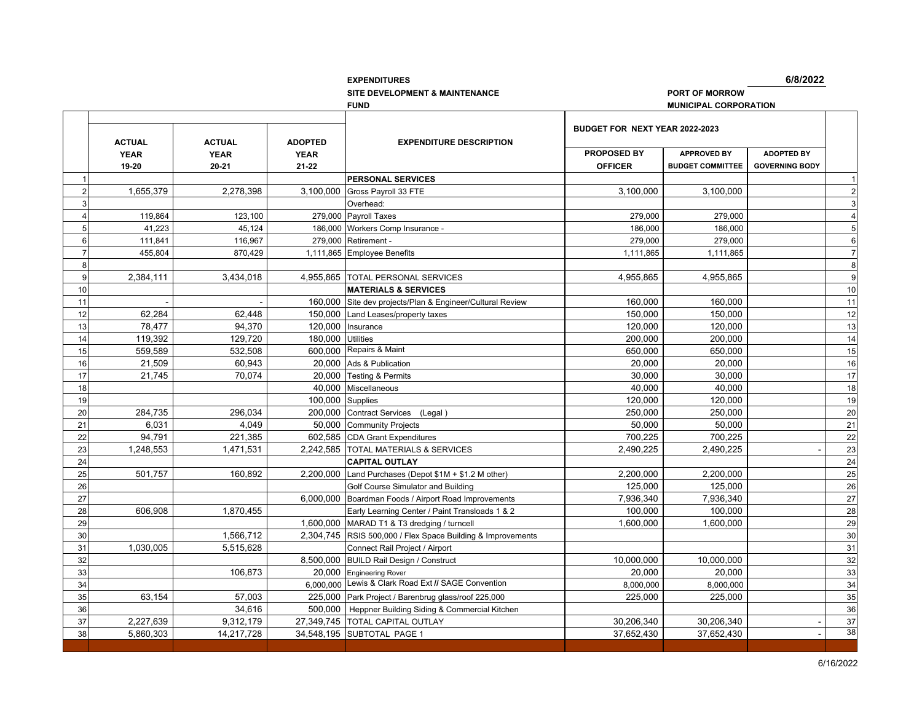**FUND**

**6/8/2022**

**SITE DEVELOPMENT & MAINTENANCE PORT OF MORROW**

**MUNICIPAL CORPORATION**

|                |               |               |                  |                                                             | BUDGET FOR NEXT YEAR 2022-2023 |                         |                       |                         |
|----------------|---------------|---------------|------------------|-------------------------------------------------------------|--------------------------------|-------------------------|-----------------------|-------------------------|
|                | <b>ACTUAL</b> | <b>ACTUAL</b> | <b>ADOPTED</b>   | <b>EXPENDITURE DESCRIPTION</b>                              |                                |                         |                       |                         |
|                | <b>YEAR</b>   | <b>YEAR</b>   | <b>YEAR</b>      |                                                             | <b>PROPOSED BY</b>             | <b>APPROVED BY</b>      | <b>ADOPTED BY</b>     |                         |
|                | 19-20         | 20-21         | $21 - 22$        |                                                             | <b>OFFICER</b>                 | <b>BUDGET COMMITTEE</b> | <b>GOVERNING BODY</b> |                         |
|                |               |               |                  | PERSONAL SERVICES                                           |                                |                         |                       | $\mathbf{1}$            |
|                | 1,655,379     | 2,278,398     | 3.100.000        | Gross Payroll 33 FTE                                        | 3,100,000                      | 3,100,000               |                       | $\overline{2}$          |
|                |               |               |                  | Overhead:                                                   |                                |                         |                       | 3                       |
|                | 119,864       | 123,100       |                  | 279,000 Payroll Taxes                                       | 279,000                        | 279,000                 |                       | $\overline{\mathbf{4}}$ |
| 5              | 41,223        | 45,124        |                  | 186,000 Workers Comp Insurance -                            | 186,000                        | 186,000                 |                       | 5                       |
| 6              | 111,841       | 116.967       | 279.000          | Retirement -                                                | 279.000                        | 279,000                 |                       | 6                       |
| $\overline{7}$ | 455,804       | 870,429       | 1,111,865        | <b>Employee Benefits</b>                                    | 1,111,865                      | 1,111,865               |                       | $\overline{7}$          |
| 8              |               |               |                  |                                                             |                                |                         |                       | 8                       |
| 9              | 2,384,111     | 3,434,018     | 4,955,865        | <b>TOTAL PERSONAL SERVICES</b>                              | 4,955,865                      | 4,955,865               |                       | 9                       |
| 10             |               |               |                  | <b>MATERIALS &amp; SERVICES</b>                             |                                |                         |                       | 10                      |
| 11             |               |               | 160,000          | Site dev projects/Plan & Engineer/Cultural Review           | 160,000                        | 160,000                 |                       | 11                      |
| 12             | 62,284        | 62,448        |                  | 150,000 Land Leases/property taxes                          | 150,000                        | 150,000                 |                       | 12                      |
| 13             | 78,477        | 94.370        | 120.000          | Insurance                                                   | 120.000                        | 120,000                 |                       | 13                      |
| 14             | 119,392       | 129,720       | 180,000          | <b>Utilities</b>                                            | 200,000                        | 200,000                 |                       | 14                      |
| 15             | 559,589       | 532,508       |                  | 600,000 Repairs & Maint                                     | 650,000                        | 650,000                 |                       | 15                      |
| 16             | 21,509        | 60,943        |                  | 20,000 Ads & Publication                                    | 20,000                         | 20,000                  |                       | 16                      |
| 17             | 21,745        | 70,074        | 20.000           | <b>Testing &amp; Permits</b>                                | 30,000                         | 30,000                  |                       | 17                      |
| 18             |               |               | 40,000           | Miscellaneous                                               | 40,000                         | 40,000                  |                       | 18                      |
| 19             |               |               | 100,000 Supplies |                                                             | 120,000                        | 120,000                 |                       | 19                      |
| 20             | 284,735       | 296.034       | 200.000          | Contract Services (Legal)                                   | 250.000                        | 250,000                 |                       | 20                      |
| 21             | 6,031         | 4,049         |                  | 50,000 Community Projects                                   | 50,000                         | 50,000                  |                       | 21                      |
| 22             | 94,791        | 221,385       |                  | 602,585 CDA Grant Expenditures                              | 700,225                        | 700,225                 |                       | 22                      |
| 23             | 1,248,553     | 1,471,531     |                  | 2,242,585 TOTAL MATERIALS & SERVICES                        | 2,490,225                      | 2,490,225               |                       | 23                      |
| 24             |               |               |                  | <b>CAPITAL OUTLAY</b>                                       |                                |                         |                       | 24                      |
| 25             | 501.757       | 160.892       | 2.200.000        | Land Purchases (Depot \$1M + \$1.2 M other)                 | 2,200,000                      | 2,200,000               |                       | 25                      |
| 26             |               |               |                  | Golf Course Simulator and Building                          | 125,000                        | 125,000                 |                       | 26                      |
| 27             |               |               | 6,000,000        | Boardman Foods / Airport Road Improvements                  | 7,936,340                      | 7,936,340               |                       | 27                      |
| 28             | 606,908       | 1,870,455     |                  | Early Learning Center / Paint Transloads 1 & 2              | 100,000                        | 100,000                 |                       | 28                      |
| 29             |               |               | 1,600,000        | MARAD T1 & T3 dredging / turncell                           | 1,600,000                      | 1,600,000               |                       | 29                      |
| 30             |               | 1,566,712     |                  | 2,304,745 RSIS 500,000 / Flex Space Building & Improvements |                                |                         |                       | 30                      |
| 31             | 1,030,005     | 5,515,628     |                  | Connect Rail Project / Airport                              |                                |                         |                       | 31                      |
| 32             |               |               | 8.500.000        | <b>BUILD Rail Design / Construct</b>                        | 10,000,000                     | 10,000,000              |                       | 32                      |
| 33             |               | 106,873       | 20.000           | <b>Engineering Rover</b>                                    | 20.000                         | 20.000                  |                       | 33                      |
| 34             |               |               | 6,000,000        | Lewis & Clark Road Ext // SAGE Convention                   | 8,000,000                      | 8,000,000               |                       | 34                      |
| 35             | 63,154        | 57,003        |                  | 225,000 Park Project / Barenbrug glass/roof 225,000         | 225,000                        | 225,000                 |                       | 35                      |
| 36             |               | 34,616        | 500,000          | Heppner Building Siding & Commercial Kitchen                |                                |                         |                       | 36                      |
| 37             | 2,227,639     | 9,312,179     | 27,349,745       | <b>TOTAL CAPITAL OUTLAY</b>                                 | 30,206,340                     | 30,206,340              |                       | 37                      |
| 38             | 5,860,303     | 14,217,728    | 34,548,195       | SUBTOTAL PAGE 1                                             | 37,652,430                     | 37,652,430              |                       | 38                      |
|                |               |               |                  |                                                             |                                |                         |                       |                         |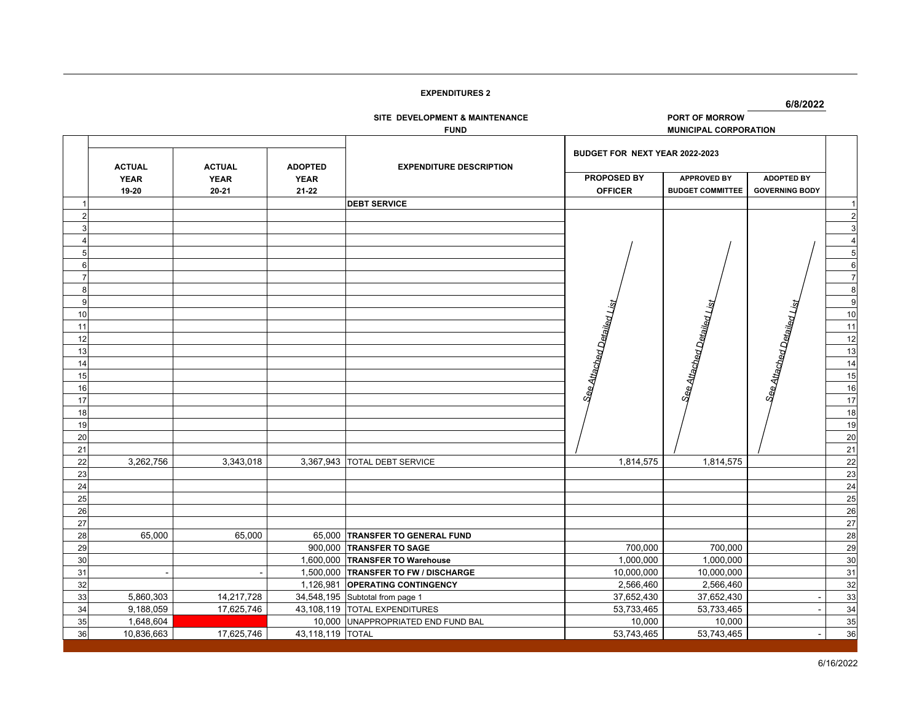**6/8/2022**

**SITE DEVELOPMENT & MAINTENANCE** 

PORT OF MORROW **FUND MUNICIPAL CORPORATION**

|          | <b>ACTUAL</b> | <b>ACTUAL</b> | <b>ADOPTED</b>   | <b>EXPENDITURE DESCRIPTION</b>       | BUDGET FOR NEXT YEAR 2022-2023 |                            |                            |                |
|----------|---------------|---------------|------------------|--------------------------------------|--------------------------------|----------------------------|----------------------------|----------------|
|          | <b>YEAR</b>   | <b>YEAR</b>   | <b>YEAR</b>      |                                      | PROPOSED BY                    | <b>APPROVED BY</b>         | <b>ADOPTED BY</b>          |                |
|          | 19-20         | 20-21         | 21-22            |                                      | <b>OFFICER</b>                 | <b>BUDGET COMMITTEE</b>    | <b>GOVERNING BODY</b>      |                |
|          |               |               |                  | <b>DEBT SERVICE</b>                  |                                |                            |                            | -1             |
|          |               |               |                  |                                      |                                |                            |                            | $\overline{2}$ |
|          |               |               |                  |                                      |                                |                            |                            | 3              |
|          |               |               |                  |                                      |                                |                            |                            | $\overline{4}$ |
|          |               |               |                  |                                      |                                |                            |                            | 5              |
| 6        |               |               |                  |                                      |                                |                            |                            | 6              |
|          |               |               |                  |                                      |                                |                            |                            | $\overline{7}$ |
| 8        |               |               |                  |                                      |                                |                            |                            | 8              |
| 9        |               |               |                  |                                      |                                |                            |                            | g              |
| 10       |               |               |                  |                                      |                                |                            |                            | 10             |
| 11       |               |               |                  |                                      |                                |                            |                            | 11             |
| 12       |               |               |                  |                                      |                                |                            |                            | 12             |
| 13       |               |               |                  |                                      |                                |                            |                            | 13             |
| 14       |               |               |                  |                                      | See Attached Detailed List     | See Attached Detailed List | See Attached Detailed List | 14             |
| 15       |               |               |                  |                                      |                                |                            |                            | 15             |
| 16       |               |               |                  |                                      |                                |                            |                            | 16             |
| 17       |               |               |                  |                                      |                                |                            |                            | 17             |
| 18       |               |               |                  |                                      |                                |                            |                            | 18             |
| 19       |               |               |                  |                                      |                                |                            |                            | 19             |
| 20       |               |               |                  |                                      |                                |                            |                            | 20             |
| 21       |               |               |                  |                                      |                                |                            |                            | 21             |
| 22       | 3,262,756     | 3,343,018     |                  | 3,367,943 TOTAL DEBT SERVICE         | 1,814,575                      | 1,814,575                  |                            | 22             |
| 23       |               |               |                  |                                      |                                |                            |                            | 23             |
| 24       |               |               |                  |                                      |                                |                            |                            | 24             |
| 25       |               |               |                  |                                      |                                |                            |                            | 25             |
| 26       |               |               |                  |                                      |                                |                            |                            | 26             |
| 27       |               |               |                  |                                      |                                |                            |                            | 27             |
| 28       | 65,000        | 65,000        |                  | 65,000 TRANSFER TO GENERAL FUND      |                                |                            |                            | 28             |
| 29       |               |               |                  | 900,000 TRANSFER TO SAGE             | 700,000                        | 700,000                    |                            | 29             |
| 30       |               |               |                  | 1,600,000 TRANSFER TO Warehouse      | 1,000,000                      | 1,000,000                  |                            | 30             |
| 31       |               |               |                  | 1,500,000 TRANSFER TO FW / DISCHARGE | 10,000,000                     | 10,000,000                 |                            | 31             |
| 32       |               |               | 1,126,981        | <b>OPERATING CONTINGENCY</b>         | 2,566,460                      | 2,566,460                  |                            | 32             |
| 33       | 5,860,303     | 14,217,728    |                  | 34,548,195 Subtotal from page 1      | 37,652,430                     | 37,652,430                 |                            | 33             |
| 34       | 9,188,059     | 17,625,746    | 43,108,119       | <b>TOTAL EXPENDITURES</b>            | 53,733,465                     | 53,733,465                 |                            | 34             |
| 35<br>36 | 1,648,604     | 17,625,746    |                  | 10,000 UNAPPROPRIATED END FUND BAL   | 10,000                         | 10,000                     |                            | 35             |
|          | 10,836,663    |               | 43,118,119 TOTAL |                                      | 53,743,465                     | 53,743,465                 |                            | 36             |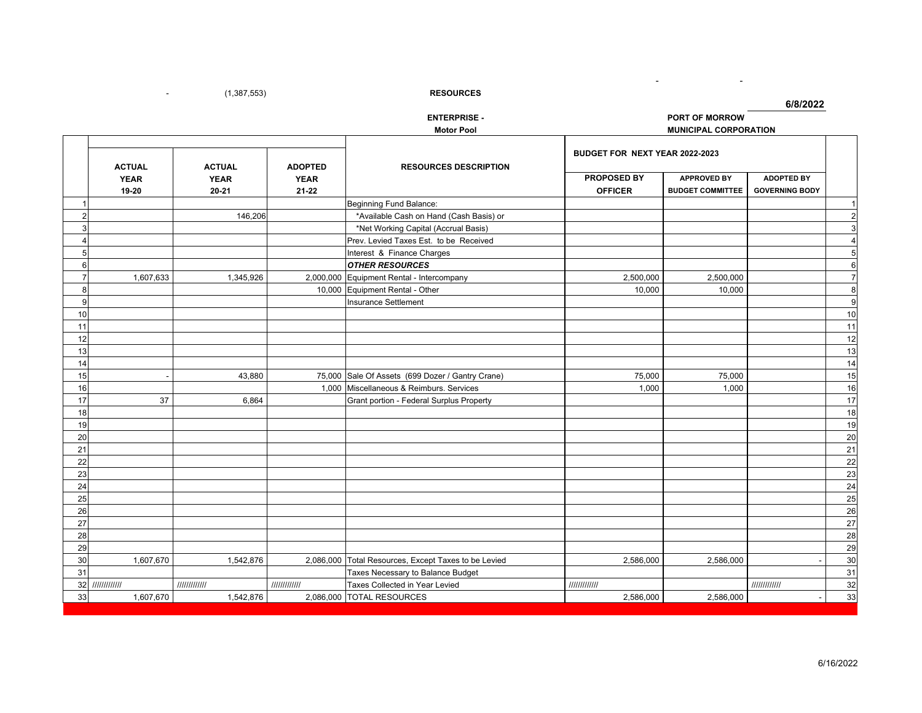(1,387,553) - **RESOURCES**

**6/8/2022**

# $$

| <b>ENTERPRISE -</b> | <b>PORT OF MORROW</b> |
|---------------------|-----------------------|
| Motor Pool          | MUNICIPAL CORPORATION |

- <u>- 1990 - 1990 - 1990 - 1990 - 1990 - 1990 - 1990 - 1990 - 1990 - 1990 - 1990 - 1990 - 1990 - 1990 - 1990 - 1990 - 1990 - 1990 - 1990 - 1990 - 1990 - 1990 - 1990 - 1990 - 1990 - 1990 - 1990 - 1990 - 1990 - 1990 - 1990 - </u>

-

|                |                                       |                                       |                                            |                                                      | BUDGET FOR NEXT YEAR 2022-2023       |                                               |                                            |                 |
|----------------|---------------------------------------|---------------------------------------|--------------------------------------------|------------------------------------------------------|--------------------------------------|-----------------------------------------------|--------------------------------------------|-----------------|
|                | <b>ACTUAL</b><br><b>YEAR</b><br>19-20 | <b>ACTUAL</b><br><b>YEAR</b><br>20-21 | <b>ADOPTED</b><br><b>YEAR</b><br>$21 - 22$ | <b>RESOURCES DESCRIPTION</b>                         | <b>PROPOSED BY</b><br><b>OFFICER</b> | <b>APPROVED BY</b><br><b>BUDGET COMMITTEE</b> | <b>ADOPTED BY</b><br><b>GOVERNING BODY</b> |                 |
|                |                                       |                                       |                                            | Beginning Fund Balance:                              |                                      |                                               |                                            | $\overline{1}$  |
| 2              |                                       | 146,206                               |                                            | *Available Cash on Hand (Cash Basis) or              |                                      |                                               |                                            | $\overline{c}$  |
| 3              |                                       |                                       |                                            | *Net Working Capital (Accrual Basis)                 |                                      |                                               |                                            | $\mathbf{3}$    |
|                |                                       |                                       |                                            | Prev. Levied Taxes Est. to be Received               |                                      |                                               |                                            | $\overline{4}$  |
| 5              |                                       |                                       |                                            | Interest & Finance Charges                           |                                      |                                               |                                            | 5               |
| 6              |                                       |                                       |                                            | <b>OTHER RESOURCES</b>                               |                                      |                                               |                                            | 6               |
| $\overline{7}$ | 1,607,633                             | 1,345,926                             |                                            | 2,000,000 Equipment Rental - Intercompany            | 2,500,000                            | 2,500,000                                     |                                            | $\overline{7}$  |
| 8              |                                       |                                       | 10,000                                     | Equipment Rental - Other                             | 10,000                               | 10,000                                        |                                            | 8               |
| 9              |                                       |                                       |                                            | Insurance Settlement                                 |                                      |                                               |                                            | 9               |
| 10             |                                       |                                       |                                            |                                                      |                                      |                                               |                                            | 10              |
| 11             |                                       |                                       |                                            |                                                      |                                      |                                               |                                            | 11              |
| 12             |                                       |                                       |                                            |                                                      |                                      |                                               |                                            | 12              |
| 13             |                                       |                                       |                                            |                                                      |                                      |                                               |                                            | 13              |
| 14             |                                       |                                       |                                            |                                                      |                                      |                                               |                                            | 14              |
| 15             |                                       | 43,880                                |                                            | 75,000 Sale Of Assets (699 Dozer / Gantry Crane)     | 75,000                               | 75,000                                        |                                            | 15              |
| 16             |                                       |                                       |                                            | 1,000 Miscellaneous & Reimburs. Services             | 1,000                                | 1,000                                         |                                            | 16              |
| 17             | 37                                    | 6,864                                 |                                            | Grant portion - Federal Surplus Property             |                                      |                                               |                                            | $\overline{17}$ |
| 18             |                                       |                                       |                                            |                                                      |                                      |                                               |                                            | 18              |
| 19             |                                       |                                       |                                            |                                                      |                                      |                                               |                                            | 19              |
| 20             |                                       |                                       |                                            |                                                      |                                      |                                               |                                            | 20              |
| 21             |                                       |                                       |                                            |                                                      |                                      |                                               |                                            | 21              |
| 22             |                                       |                                       |                                            |                                                      |                                      |                                               |                                            | 22              |
| 23             |                                       |                                       |                                            |                                                      |                                      |                                               |                                            | 23              |
| 24             |                                       |                                       |                                            |                                                      |                                      |                                               |                                            | $\overline{24}$ |
| 25             |                                       |                                       |                                            |                                                      |                                      |                                               |                                            | 25              |
| 26             |                                       |                                       |                                            |                                                      |                                      |                                               |                                            | 26              |
| 27             |                                       |                                       |                                            |                                                      |                                      |                                               |                                            | $\overline{27}$ |
| 28             |                                       |                                       |                                            |                                                      |                                      |                                               |                                            | 28              |
| 29             |                                       |                                       |                                            |                                                      |                                      |                                               |                                            | 29              |
| 30             | 1,607,670                             | 1,542,876                             |                                            | 2,086,000 Total Resources, Except Taxes to be Levied | 2,586,000                            | 2,586,000                                     |                                            | 30              |
| 31             |                                       |                                       |                                            | Taxes Necessary to Balance Budget                    |                                      |                                               |                                            | 31              |
|                | 32 ////////////                       | 111111111111                          | 111111111111                               | Taxes Collected in Year Levied                       | 111111111111                         |                                               | 111111111111                               | 32              |
| 33             | 1,607,670                             | 1,542,876                             |                                            | 2,086,000 TOTAL RESOURCES                            | 2,586,000                            | 2,586,000                                     |                                            | 33              |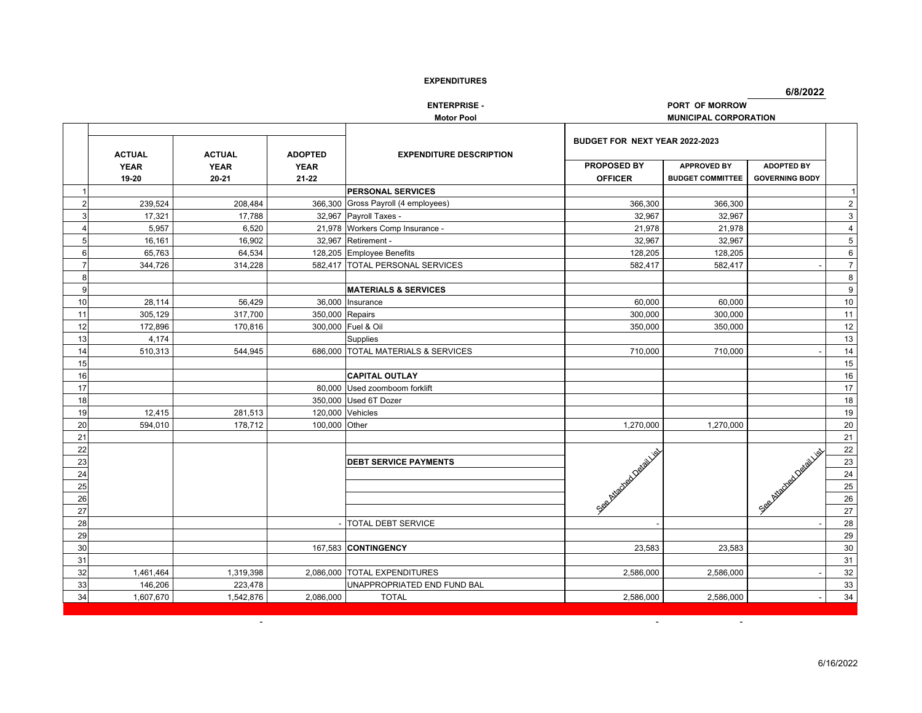**6/8/2022**

**ENTERPRISE -**<br> **PORT OF MORROW** 

**Motor Pool MUNICIPAL CORPORATION**

**-** Control of the Sea

|    |               |               |                 |                                     | BUDGET FOR NEXT YEAR 2022-2023 |                         |                             |                |
|----|---------------|---------------|-----------------|-------------------------------------|--------------------------------|-------------------------|-----------------------------|----------------|
|    | <b>ACTUAL</b> | <b>ACTUAL</b> | <b>ADOPTED</b>  | <b>EXPENDITURE DESCRIPTION</b>      |                                |                         |                             |                |
|    | <b>YEAR</b>   | <b>YEAR</b>   | <b>YEAR</b>     |                                     | <b>PROPOSED BY</b>             | <b>APPROVED BY</b>      | <b>ADOPTED BY</b>           |                |
|    | 19-20         | $20 - 21$     | $21 - 22$       |                                     | <b>OFFICER</b>                 | <b>BUDGET COMMITTEE</b> | <b>GOVERNING BODY</b>       |                |
|    |               |               |                 | <b>PERSONAL SERVICES</b>            |                                |                         |                             | $\vert$ 1      |
|    | 239,524       | 208,484       |                 | 366,300 Gross Payroll (4 employees) | 366,300                        | 366,300                 |                             | $\overline{2}$ |
|    | 17,321        | 17,788        |                 | 32,967 Payroll Taxes -              | 32,967                         | 32,967                  |                             | $\mathbf{3}$   |
|    | 5,957         | 6,520         |                 | 21,978 Workers Comp Insurance -     | 21,978                         | 21,978                  |                             | $\overline{4}$ |
| 5  | 16,161        | 16,902        |                 | 32,967 Retirement -                 | 32,967                         | 32,967                  |                             | $\overline{5}$ |
| 6  | 65,763        | 64,534        |                 | 128,205 Employee Benefits           | 128,205                        | 128,205                 |                             | 6              |
| 7  | 344,726       | 314.228       |                 | 582.417 TOTAL PERSONAL SERVICES     | 582,417                        | 582,417                 |                             | $\overline{7}$ |
| 8  |               |               |                 |                                     |                                |                         |                             | 8              |
| 9  |               |               |                 | <b>MATERIALS &amp; SERVICES</b>     |                                |                         |                             | 9              |
| 10 | 28.114        | 56.429        |                 | 36,000 Insurance                    | 60.000                         | 60.000                  |                             | 10             |
| 11 | 305,129       | 317,700       | 350,000 Repairs |                                     | 300,000                        | 300,000                 |                             | $11$           |
| 12 | 172,896       | 170,816       |                 | 300,000 Fuel & Oil                  | 350,000                        | 350,000                 |                             | $12$           |
| 13 | 4.174         |               |                 | <b>Supplies</b>                     |                                |                         |                             | $13$           |
| 14 | 510,313       | 544,945       |                 | 686,000 TOTAL MATERIALS & SERVICES  | 710,000                        | 710,000                 |                             | $14$           |
| 15 |               |               |                 |                                     |                                |                         |                             | 15             |
| 16 |               |               |                 | <b>CAPITAL OUTLAY</b>               |                                |                         |                             | 16             |
| 17 |               |               |                 | 80,000 Used zoomboom forklift       |                                |                         |                             | 17             |
| 18 |               |               |                 | 350,000 Used 6T Dozer               |                                |                         |                             | 18             |
| 19 | 12,415        | 281,513       |                 | 120,000 Vehicles                    |                                |                         |                             | 19             |
| 20 | 594,010       | 178,712       | 100,000 Other   |                                     | 1,270,000                      | 1,270,000               |                             | $20\,$         |
| 21 |               |               |                 |                                     |                                |                         |                             | 21             |
| 22 |               |               |                 |                                     |                                |                         |                             | 22             |
| 23 |               |               |                 | <b>DEBT SERVICE PAYMENTS</b>        |                                |                         |                             | 23             |
| 24 |               |               |                 |                                     | See Middleburgs Designation    |                         | See Middleback Devel Just 1 | 24             |
| 25 |               |               |                 |                                     |                                |                         |                             | 25             |
| 26 |               |               |                 |                                     |                                |                         |                             | 26             |
| 27 |               |               |                 |                                     |                                |                         |                             | $27\,$         |
| 28 |               |               |                 | - TOTAL DEBT SERVICE                |                                |                         |                             | 28             |
| 29 |               |               |                 |                                     |                                |                         |                             | 29             |
| 30 |               |               |                 | 167.583 CONTINGENCY                 | 23,583                         | 23,583                  |                             | 30             |
| 31 |               |               |                 |                                     |                                |                         |                             | 31             |
| 32 | 1,461,464     | 1,319,398     |                 | 2,086,000 TOTAL EXPENDITURES        | 2,586,000                      | 2,586,000               |                             | $32\,$         |
| 33 | 146,206       | 223,478       |                 | UNAPPROPRIATED END FUND BAL         |                                |                         |                             | 33             |
| 34 | 1,607,670     | 1,542,876     | 2,086,000       | <b>TOTAL</b>                        | 2,586,000                      | 2,586,000               |                             | 34             |

- -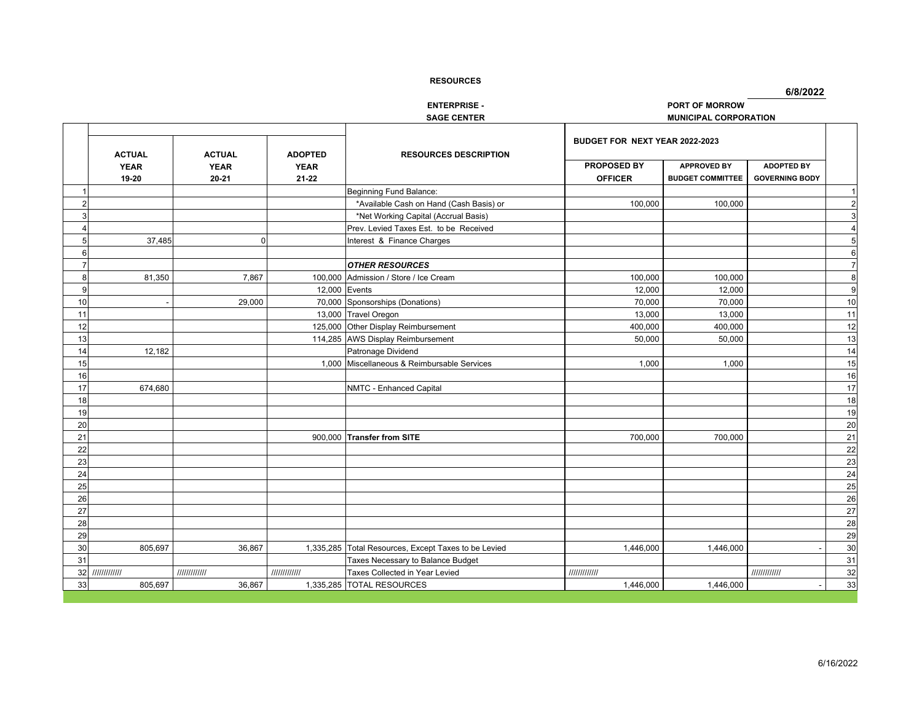$\overline{\phantom{a}}$ 

**6/8/2022**

**ENTERPRISE - PORT OF MORROW**

**SAGE CENTER MUNICIPAL CORPORATION**

|                |                                       |                                           |                                            |                                             | BUDGET FOR NEXT YEAR 2022-2023 |                                               |                                            |                |
|----------------|---------------------------------------|-------------------------------------------|--------------------------------------------|---------------------------------------------|--------------------------------|-----------------------------------------------|--------------------------------------------|----------------|
|                | <b>ACTUAL</b><br><b>YEAR</b><br>19-20 | <b>ACTUAL</b><br><b>YEAR</b><br>$20 - 21$ | <b>ADOPTED</b><br><b>YEAR</b><br>$21 - 22$ | <b>RESOURCES DESCRIPTION</b>                | PROPOSED BY<br><b>OFFICER</b>  | <b>APPROVED BY</b><br><b>BUDGET COMMITTEE</b> | <b>ADOPTED BY</b><br><b>GOVERNING BODY</b> |                |
|                |                                       |                                           |                                            | Beginning Fund Balance:                     |                                |                                               |                                            | $\mathbf{1}$   |
| $\overline{2}$ |                                       |                                           |                                            | *Available Cash on Hand (Cash Basis) or     | 100,000                        | 100,000                                       |                                            | $\overline{c}$ |
| 3              |                                       |                                           |                                            | *Net Working Capital (Accrual Basis)        |                                |                                               |                                            | $\mathbf{3}$   |
|                |                                       |                                           |                                            | Prev. Levied Taxes Est. to be Received      |                                |                                               |                                            | $\overline{4}$ |
| 5              | 37,485                                | $\Omega$                                  |                                            | Interest & Finance Charges                  |                                |                                               |                                            | $\overline{5}$ |
| 6              |                                       |                                           |                                            |                                             |                                |                                               |                                            | 6              |
| $\overline{7}$ |                                       |                                           |                                            | <b>OTHER RESOURCES</b>                      |                                |                                               |                                            | $\overline{7}$ |
| 8              | 81,350                                | 7,867                                     | 100,000                                    | Admission / Store / Ice Cream               | 100,000                        | 100,000                                       |                                            | 8              |
| q              |                                       |                                           | 12.000 Events                              |                                             | 12,000                         | 12.000                                        |                                            | 9              |
| 10             |                                       | 29,000                                    |                                            | 70,000 Sponsorships (Donations)             | 70,000                         | 70,000                                        |                                            | 10             |
| 11             |                                       |                                           |                                            | 13,000 Travel Oregon                        | 13,000                         | 13,000                                        |                                            | 11             |
| 12             |                                       |                                           |                                            | 125,000 Other Display Reimbursement         | 400,000                        | 400,000                                       |                                            | 12             |
| 13             |                                       |                                           |                                            | 114,285 AWS Display Reimbursement           | 50,000                         | 50,000                                        |                                            | 13             |
| 14             | 12,182                                |                                           |                                            | Patronage Dividend                          |                                |                                               |                                            | 14             |
| 15             |                                       |                                           |                                            | 1,000 Miscellaneous & Reimbursable Services | 1,000                          | 1,000                                         |                                            | 15             |
| 16             |                                       |                                           |                                            |                                             |                                |                                               |                                            | 16             |
| 17             | 674,680                               |                                           |                                            | NMTC - Enhanced Capital                     |                                |                                               |                                            | 17             |
| 18             |                                       |                                           |                                            |                                             |                                |                                               |                                            | 18             |
| 19             |                                       |                                           |                                            |                                             |                                |                                               |                                            | 19             |
| 20             |                                       |                                           |                                            |                                             |                                |                                               |                                            | 20             |
| 21             |                                       |                                           |                                            | 900,000 Transfer from SITE                  | 700,000                        | 700,000                                       |                                            | 21             |
| 22             |                                       |                                           |                                            |                                             |                                |                                               |                                            | 22             |
| 23             |                                       |                                           |                                            |                                             |                                |                                               |                                            | 23             |
| 24             |                                       |                                           |                                            |                                             |                                |                                               |                                            | 24             |
| 25             |                                       |                                           |                                            |                                             |                                |                                               |                                            | 25             |
| 26             |                                       |                                           |                                            |                                             |                                |                                               |                                            | 26             |
| 27             |                                       |                                           |                                            |                                             |                                |                                               |                                            | 27             |
| 28             |                                       |                                           |                                            |                                             |                                |                                               |                                            | 28             |
| 29             |                                       |                                           |                                            |                                             |                                |                                               |                                            | 29             |
| 30             | 805,697                               | 36,867                                    | 1,335,285                                  | Total Resources, Except Taxes to be Levied  | 1,446,000                      | 1,446,000                                     |                                            | 30             |
| 31             |                                       |                                           |                                            | Taxes Necessary to Balance Budget           |                                |                                               |                                            | 31             |
| 32             | 111111111111                          | 111111111111                              | 111111111111                               | Taxes Collected in Year Levied              | 111111111111                   |                                               | 111111111111                               | 32             |
| 33             | 805,697                               | 36,867                                    |                                            | 1,335,285 TOTAL RESOURCES                   | 1,446,000                      | 1,446,000                                     |                                            | 33             |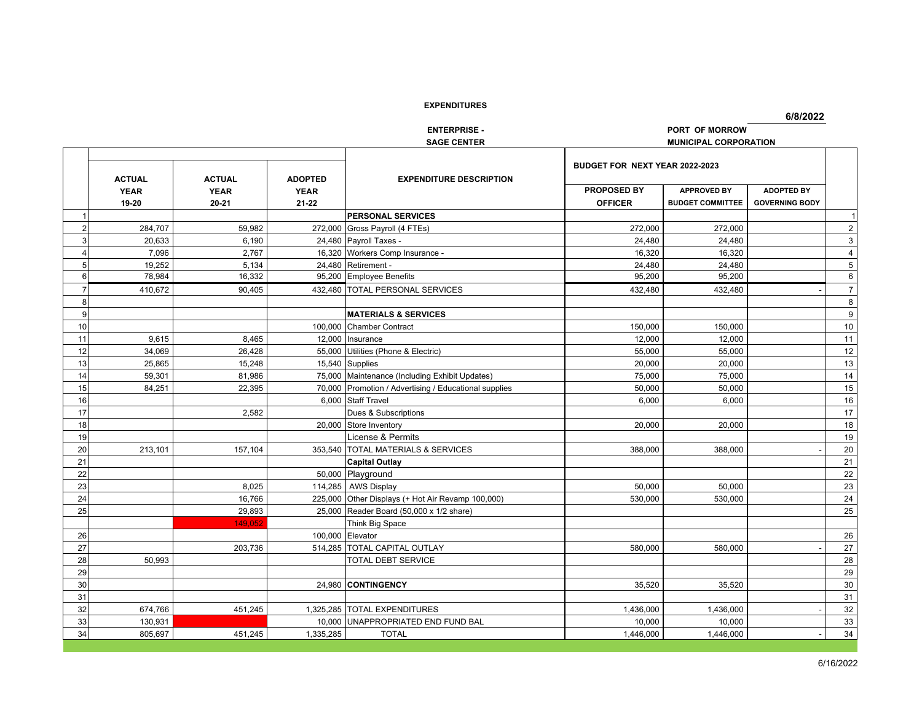**6/8/2022**

|                |               |               |                | <b>ENTERPRISE -</b>                                   |                                | PORT OF MORROW               |                       |                |
|----------------|---------------|---------------|----------------|-------------------------------------------------------|--------------------------------|------------------------------|-----------------------|----------------|
|                |               |               |                | <b>SAGE CENTER</b>                                    |                                | <b>MUNICIPAL CORPORATION</b> |                       |                |
|                | <b>ACTUAL</b> | <b>ACTUAL</b> | <b>ADOPTED</b> | <b>EXPENDITURE DESCRIPTION</b>                        | BUDGET FOR NEXT YEAR 2022-2023 |                              |                       |                |
|                | <b>YEAR</b>   | <b>YEAR</b>   | <b>YEAR</b>    |                                                       | PROPOSED BY                    | <b>APPROVED BY</b>           | <b>ADOPTED BY</b>     |                |
|                | 19-20         | 20-21         | 21-22          |                                                       | <b>OFFICER</b>                 | <b>BUDGET COMMITTEE</b>      | <b>GOVERNING BODY</b> |                |
|                |               |               |                | <b>PERSONAL SERVICES</b>                              |                                |                              |                       |                |
| $\overline{2}$ | 284,707       | 59.982        |                | 272,000 Gross Payroll (4 FTEs)                        | 272,000                        | 272,000                      |                       | $\overline{2}$ |
| $\overline{3}$ | 20,633        | 6,190         |                | 24,480 Payroll Taxes -                                | 24,480                         | 24,480                       |                       | 3              |
| 4              | 7,096         | 2.767         |                | 16,320 Workers Comp Insurance -                       | 16,320                         | 16,320                       |                       | $\overline{4}$ |
| 5 <sub>5</sub> | 19,252        | 5,134         |                | 24,480 Retirement -                                   | 24,480                         | 24,480                       |                       | 5              |
| 6              | 78,984        | 16,332        |                | 95,200 Employee Benefits                              | 95,200                         | 95,200                       |                       | 6              |
| $\overline{7}$ | 410,672       | 90,405        |                | 432,480 TOTAL PERSONAL SERVICES                       | 432,480                        | 432,480                      |                       | $\overline{7}$ |
| 8              |               |               |                |                                                       |                                |                              |                       | 8              |
| 9              |               |               |                | <b>MATERIALS &amp; SERVICES</b>                       |                                |                              |                       | 9              |
| 10             |               |               |                | 100,000 Chamber Contract                              | 150,000                        | 150,000                      |                       | 10             |
| 11             | 9,615         | 8,465         |                | 12,000 Insurance                                      | 12,000                         | 12,000                       |                       | 11             |
| 12             | 34,069        | 26,428        |                | 55,000 Utilities (Phone & Electric)                   | 55,000                         | 55,000                       |                       | 12             |
| 13             | 25,865        | 15,248        |                | 15,540 Supplies                                       | 20,000                         | 20,000                       |                       | 13             |
| 14             | 59,301        | 81,986        |                | 75,000 Maintenance (Including Exhibit Updates)        | 75,000                         | 75,000                       |                       | 14             |
| 15             | 84,251        | 22.395        |                | 70,000 Promotion / Advertising / Educational supplies | 50,000                         | 50,000                       |                       | 15             |
| 16             |               |               |                | 6.000 Staff Travel                                    | 6,000                          | 6,000                        |                       | 16             |
| 17             |               | 2.582         |                | Dues & Subscriptions                                  |                                |                              |                       | 17             |
| 18             |               |               |                | 20,000 Store Inventory                                | 20,000                         | 20,000                       |                       | 18             |
| 19             |               |               |                | License & Permits                                     |                                |                              |                       | 19             |
| 20             | 213,101       | 157,104       |                | 353,540 TOTAL MATERIALS & SERVICES                    | 388,000                        | 388,000                      |                       | 20             |
| 21             |               |               |                | <b>Capital Outlay</b>                                 |                                |                              |                       | 21             |
| 22             |               |               |                | 50,000 Playground                                     |                                |                              |                       | 22             |
| 23             |               | 8,025         |                | 114,285 AWS Display                                   | 50,000                         | 50,000                       |                       | 23             |
| 24             |               | 16,766        |                | 225,000 Other Displays (+ Hot Air Revamp 100,000)     | 530,000                        | 530,000                      |                       | 24             |
| 25             |               | 29,893        |                | 25,000 Reader Board (50,000 x 1/2 share)              |                                |                              |                       | 25             |
|                |               | 149.052       |                | Think Big Space                                       |                                |                              |                       |                |
| 26             |               |               |                | 100,000 Elevator                                      |                                |                              |                       | 26             |
| 27             |               | 203,736       |                | 514,285 TOTAL CAPITAL OUTLAY                          | 580,000                        | 580,000                      |                       | 27             |
| 28             | 50,993        |               |                | <b>TOTAL DEBT SERVICE</b>                             |                                |                              |                       | 28             |
| 29             |               |               |                |                                                       |                                |                              |                       | 29             |
| 30             |               |               |                | 24,980 CONTINGENCY                                    | 35,520                         | 35,520                       |                       | 30             |
| 31             |               |               |                |                                                       |                                |                              |                       | 31             |
| 32             | 674,766       | 451,245       |                | 1,325,285 TOTAL EXPENDITURES                          | 1,436,000                      | 1,436,000                    |                       | 32             |
| 33             | 130,931       |               |                | 10,000 UNAPPROPRIATED END FUND BAL                    | 10,000                         | 10,000                       |                       | 33             |
| 34             | 805,697       | 451,245       | 1,335,285      | <b>TOTAL</b>                                          | 1,446,000                      | 1,446,000                    |                       | 34             |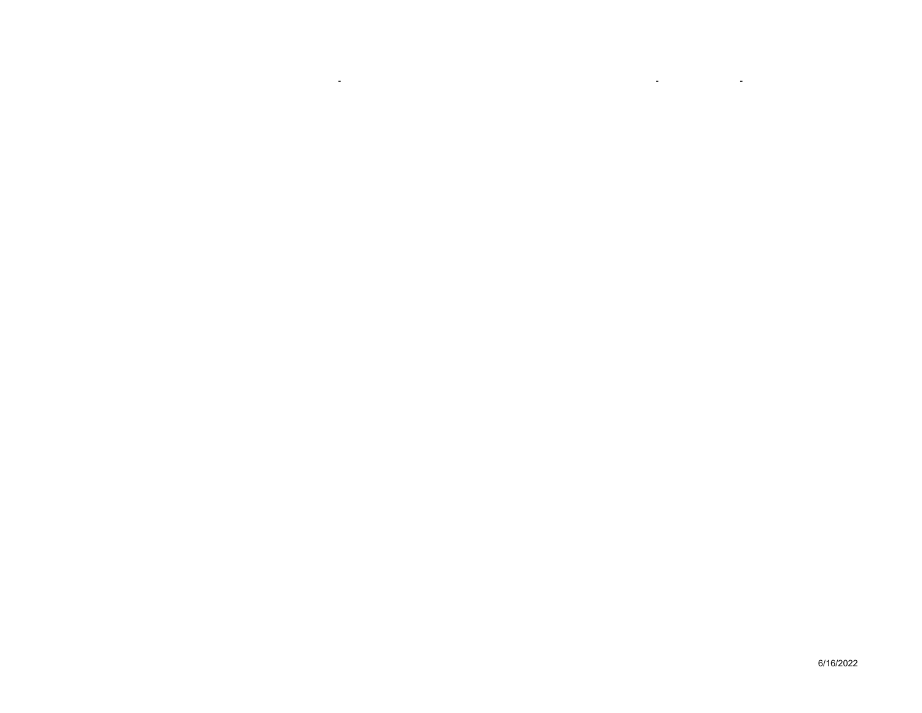6/16/2022

- -

- <u>- 1990 - 1990 - 1990 - 1990 - 1990 - 1990 - 1990 - 1990 - 1990 - 1990 - 1990 - 1990 - 1990 - 1990 - 1990 - 1990 - 1990 - 1990 - 1990 - 1990 - 1990 - 1990 - 1990 - 1990 - 1990 - 1990 - 1990 - 1990 - 1990 - 1990 - 1990 - </u>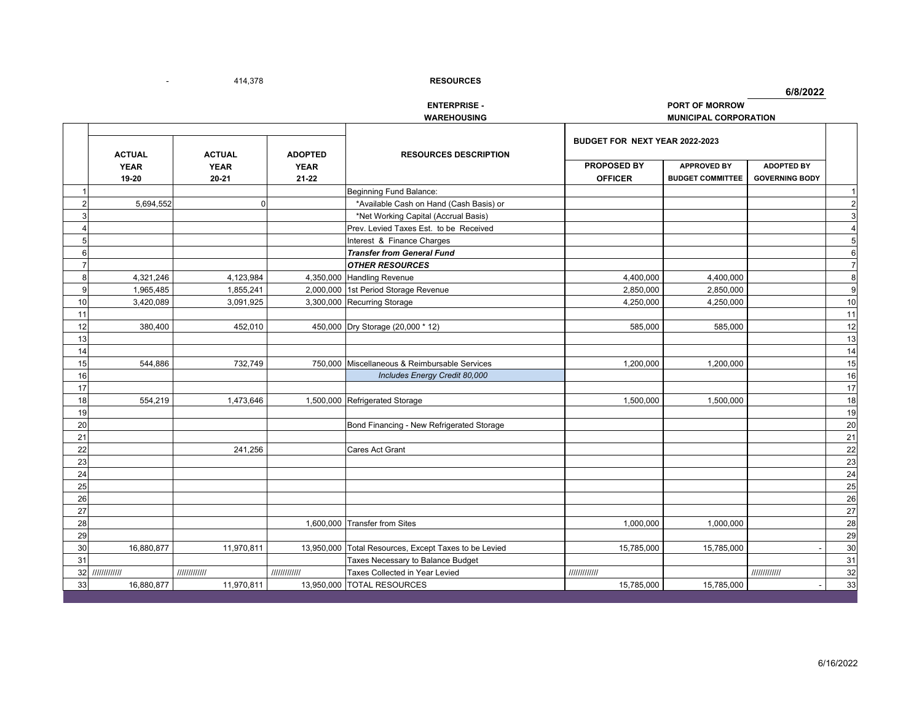$\overline{\phantom{a}}$ 

414,378 - **RESOURCES**

**6/8/2022**

# **ENTERPRISE - PORT OF MORROW**

**WAREHOUSING MUNICIPAL CORPORATION**

|                |                      | <b>ACTUAL</b>                             |                                            |                                               | BUDGET FOR NEXT YEAR 2022-2023 |                                               |                                            |                |
|----------------|----------------------|-------------------------------------------|--------------------------------------------|-----------------------------------------------|--------------------------------|-----------------------------------------------|--------------------------------------------|----------------|
|                | <b>YEAR</b><br>19-20 | <b>ACTUAL</b><br><b>YEAR</b><br>$20 - 21$ | <b>ADOPTED</b><br><b>YEAR</b><br>$21 - 22$ | <b>RESOURCES DESCRIPTION</b>                  | PROPOSED BY<br><b>OFFICER</b>  | <b>APPROVED BY</b><br><b>BUDGET COMMITTEE</b> | <b>ADOPTED BY</b><br><b>GOVERNING BODY</b> |                |
|                |                      |                                           |                                            | Beginning Fund Balance:                       |                                |                                               |                                            | 1              |
| $\overline{2}$ | 5,694,552            |                                           |                                            | *Available Cash on Hand (Cash Basis) or       |                                |                                               |                                            | $\overline{2}$ |
| 3              |                      |                                           |                                            | *Net Working Capital (Accrual Basis)          |                                |                                               |                                            | $\mathbf{3}$   |
| $\Delta$       |                      |                                           |                                            | Prev. Levied Taxes Est. to be Received        |                                |                                               |                                            | $\overline{4}$ |
| 5              |                      |                                           |                                            | Interest & Finance Charges                    |                                |                                               |                                            | $\overline{5}$ |
| 6              |                      |                                           |                                            | <b>Transfer from General Fund</b>             |                                |                                               |                                            | 6              |
| $\overline{7}$ |                      |                                           |                                            | <b>OTHER RESOURCES</b>                        |                                |                                               |                                            | $\overline{7}$ |
| 8              | 4,321,246            | 4,123,984                                 |                                            | 4,350,000 Handling Revenue                    | 4,400,000                      | 4,400,000                                     |                                            | 8              |
| 9              | 1,965,485            | 1,855,241                                 |                                            | 2,000,000 1st Period Storage Revenue          | 2,850,000                      | 2,850,000                                     |                                            | 9              |
| 10             | 3,420,089            | 3,091,925                                 |                                            | 3,300,000 Recurring Storage                   | 4,250,000                      | 4,250,000                                     |                                            | $10$           |
| 11             |                      |                                           |                                            |                                               |                                |                                               |                                            | 11             |
| 12             | 380,400              | 452,010                                   |                                            | 450,000 Dry Storage (20,000 * 12)             | 585,000                        | 585,000                                       |                                            | 12             |
| 13             |                      |                                           |                                            |                                               |                                |                                               |                                            | 13             |
| 14             |                      |                                           |                                            |                                               |                                |                                               |                                            | 14             |
| 15             | 544,886              | 732,749                                   |                                            | 750,000 Miscellaneous & Reimbursable Services | 1,200,000                      | 1,200,000                                     |                                            | 15             |
| 16             |                      |                                           |                                            | Includes Energy Credit 80,000                 |                                |                                               |                                            | 16             |
| 17             |                      |                                           |                                            |                                               |                                |                                               |                                            | 17             |
| 18             | 554,219              | 1,473,646                                 |                                            | 1,500,000 Refrigerated Storage                | 1,500,000                      | 1,500,000                                     |                                            | 18             |
| 19             |                      |                                           |                                            |                                               |                                |                                               |                                            | 19             |
| 20             |                      |                                           |                                            | Bond Financing - New Refrigerated Storage     |                                |                                               |                                            | $20\,$         |
| 21             |                      |                                           |                                            |                                               |                                |                                               |                                            | 21             |
| 22             |                      | 241,256                                   |                                            | <b>Cares Act Grant</b>                        |                                |                                               |                                            | 22             |
| 23             |                      |                                           |                                            |                                               |                                |                                               |                                            | 23             |
| 24             |                      |                                           |                                            |                                               |                                |                                               |                                            | 24             |
| 25             |                      |                                           |                                            |                                               |                                |                                               |                                            | 25             |
| 26             |                      |                                           |                                            |                                               |                                |                                               |                                            | 26             |
| 27             |                      |                                           |                                            |                                               |                                |                                               |                                            | 27             |
| 28             |                      |                                           |                                            | 1,600,000 Transfer from Sites                 | 1,000,000                      | 1,000,000                                     |                                            | 28             |
| 29             |                      |                                           |                                            |                                               |                                |                                               |                                            | 29             |
| 30             | 16,880,877           | 11,970,811                                | 13,950,000                                 | Total Resources, Except Taxes to be Levied    | 15,785,000                     | 15,785,000                                    |                                            | 30             |
| 31             |                      |                                           |                                            | Taxes Necessary to Balance Budget             |                                |                                               |                                            | 31             |
| 32             | /////////////        | 1111111111111                             | 1111111111111                              | Taxes Collected in Year Levied                | 111111111111                   |                                               | 111111111111                               | 32             |
| 33             | 16,880,877           | 11,970,811                                |                                            | 13,950,000 TOTAL RESOURCES                    | 15,785,000                     | 15,785,000                                    |                                            | 33             |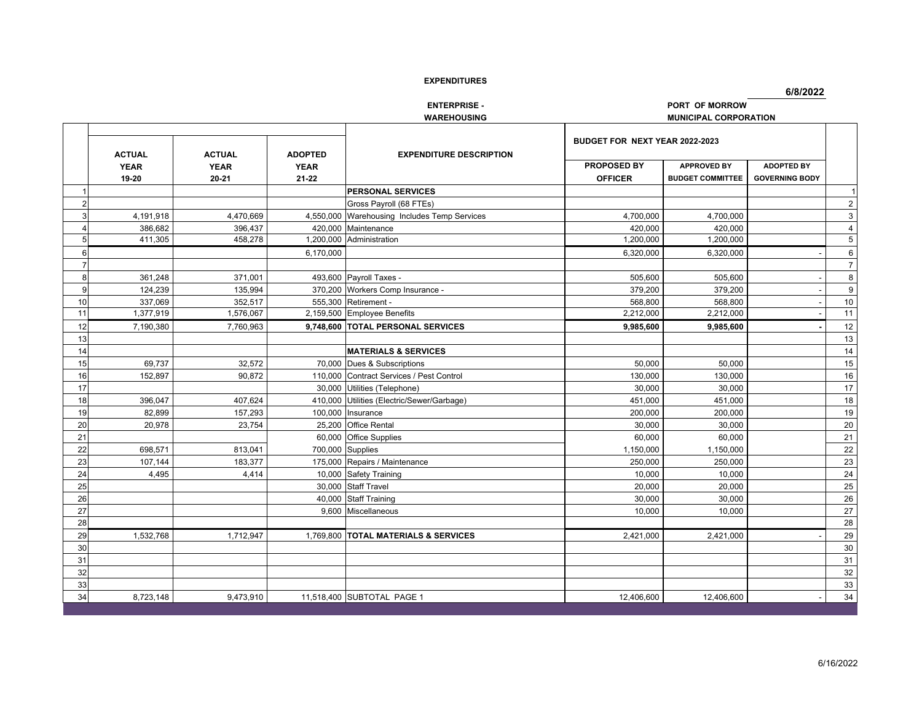**6/8/2022**

**ENTERPRISE - PORT OF MORROW**

**WAREHOUSING MUNICIPAL CORPORATION**

|    |                                       |                                           |                                            |                                          | BUDGET FOR NEXT YEAR 2022-2023 |                                               |                                            |                |
|----|---------------------------------------|-------------------------------------------|--------------------------------------------|------------------------------------------|--------------------------------|-----------------------------------------------|--------------------------------------------|----------------|
|    | <b>ACTUAL</b><br><b>YEAR</b><br>19-20 | <b>ACTUAL</b><br><b>YEAR</b><br>$20 - 21$ | <b>ADOPTED</b><br><b>YEAR</b><br>$21 - 22$ | <b>EXPENDITURE DESCRIPTION</b>           | PROPOSED BY<br><b>OFFICER</b>  | <b>APPROVED BY</b><br><b>BUDGET COMMITTEE</b> | <b>ADOPTED BY</b><br><b>GOVERNING BODY</b> |                |
|    |                                       |                                           |                                            | <b>PERSONAL SERVICES</b>                 |                                |                                               |                                            | 1              |
|    |                                       |                                           |                                            | Gross Payroll (68 FTEs)                  |                                |                                               |                                            | $2^{\circ}$    |
| 3  | 4,191,918                             | 4,470,669                                 | 4,550,000                                  | Warehousing Includes Temp Services       | 4,700,000                      | 4,700,000                                     |                                            | 3 <sup>1</sup> |
|    | 386,682                               | 396,437                                   | 420.000                                    | Maintenance                              | 420,000                        | 420,000                                       |                                            | $\overline{4}$ |
| 5  | 411,305                               | 458,278                                   | 1,200,000                                  | Administration                           | 1,200,000                      | 1,200,000                                     |                                            | $\,$ 5 $\,$    |
| 6  |                                       |                                           | 6,170,000                                  |                                          | 6,320,000                      | 6,320,000                                     |                                            | $\bf 6$        |
|    |                                       |                                           |                                            |                                          |                                |                                               |                                            | 7 <sup>1</sup> |
| 8  | 361,248                               | 371,001                                   |                                            | 493,600 Payroll Taxes -                  | 505,600                        | 505,600                                       |                                            | 8              |
| 9  | 124,239                               | 135,994                                   |                                            | 370,200 Workers Comp Insurance -         | 379,200                        | 379,200                                       |                                            | 9              |
| 10 | 337,069                               | 352,517                                   |                                            | 555,300 Retirement -                     | 568,800                        | 568,800                                       |                                            | 10             |
| 11 | 1,377,919                             | 1,576,067                                 |                                            | 2,159,500 Employee Benefits              | 2,212,000                      | 2,212,000                                     |                                            | 11             |
| 12 | 7,190,380                             | 7,760,963                                 |                                            | 9.748.600 TOTAL PERSONAL SERVICES        | 9,985,600                      | 9,985,600                                     |                                            | $12$           |
| 13 |                                       |                                           |                                            |                                          |                                |                                               |                                            | $13$           |
| 14 |                                       |                                           |                                            | <b>MATERIALS &amp; SERVICES</b>          |                                |                                               |                                            | $14$           |
| 15 | 69,737                                | 32,572                                    |                                            | 70,000 Dues & Subscriptions              | 50,000                         | 50,000                                        |                                            | 15             |
| 16 | 152,897                               | 90.872                                    |                                            | 110,000 Contract Services / Pest Control | 130,000                        | 130,000                                       |                                            | 16             |
| 17 |                                       |                                           |                                            | 30,000 Utilities (Telephone)             | 30,000                         | 30,000                                        |                                            | 17             |
| 18 | 396,047                               | 407,624                                   | 410,000                                    | Utilities (Electric/Sewer/Garbage)       | 451,000                        | 451,000                                       |                                            | $18\,$         |
| 19 | 82.899                                | 157,293                                   | 100.000                                    | Insurance                                | 200,000                        | 200,000                                       |                                            | 19             |
| 20 | 20,978                                | 23,754                                    |                                            | 25.200 Office Rental                     | 30,000                         | 30,000                                        |                                            | $20\,$         |
| 21 |                                       |                                           |                                            | 60,000 Office Supplies                   | 60,000                         | 60,000                                        |                                            | 21             |
| 22 | 698.571                               | 813.041                                   |                                            | 700,000 Supplies                         | 1,150,000                      | 1,150,000                                     |                                            | 22             |
| 23 | 107,144                               | 183,377                                   |                                            | 175,000 Repairs / Maintenance            | 250,000                        | 250,000                                       |                                            | 23             |
| 24 | 4,495                                 | 4,414                                     |                                            | 10,000 Safety Training                   | 10,000                         | 10,000                                        |                                            | $24\,$         |
| 25 |                                       |                                           |                                            | 30,000 Staff Travel                      | 20.000                         | 20.000                                        |                                            | 25             |
| 26 |                                       |                                           |                                            | 40,000 Staff Training                    | 30,000                         | 30,000                                        |                                            | $26\,$         |
| 27 |                                       |                                           |                                            | 9,600 Miscellaneous                      | 10,000                         | 10,000                                        |                                            | $27\,$         |
| 28 |                                       |                                           |                                            |                                          |                                |                                               |                                            | $28\,$         |
| 29 | 1,532,768                             | 1,712,947                                 |                                            | 1,769,800 TOTAL MATERIALS & SERVICES     | 2,421,000                      | 2,421,000                                     |                                            | 29             |
| 30 |                                       |                                           |                                            |                                          |                                |                                               |                                            | 30             |
| 31 |                                       |                                           |                                            |                                          |                                |                                               |                                            | 31             |
| 32 |                                       |                                           |                                            |                                          |                                |                                               |                                            | $32\,$         |
| 33 |                                       |                                           |                                            |                                          |                                |                                               |                                            | 33             |
| 34 | 8,723,148                             | 9,473,910                                 |                                            | 11,518,400 SUBTOTAL PAGE 1               | 12,406,600                     | 12,406,600                                    |                                            | 34             |